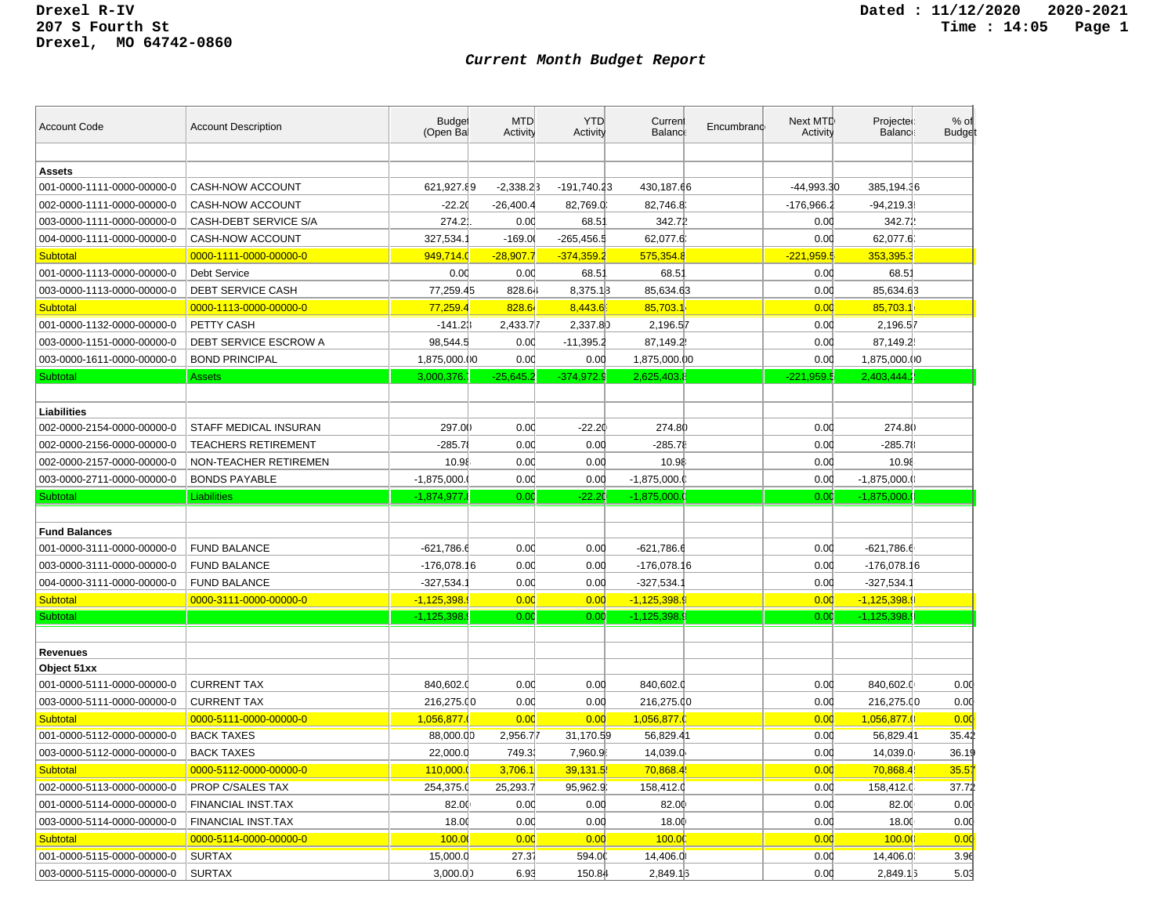| <b>Account Code</b>        | <b>Account Description</b> | <b>Budget</b><br>(Open Bal | <b>MTD</b><br>Activity | <b>YTD</b><br>Activity | Curren<br>Balanc | Encumbrand | Next MTD<br>Activity | Projected<br>Balance: | % of<br><b>Budget</b> |
|----------------------------|----------------------------|----------------------------|------------------------|------------------------|------------------|------------|----------------------|-----------------------|-----------------------|
|                            |                            |                            |                        |                        |                  |            |                      |                       |                       |
| <b>Assets</b>              |                            |                            |                        |                        |                  |            |                      |                       |                       |
| 001-0000-1111-0000-00000-0 | CASH-NOW ACCOUNT           | 621,927.89                 | $-2,338.23$            | -191,740.23            | 430,187.66       |            | -44,993.30           | 385,194.36            |                       |
| 002-0000-1111-0000-00000-0 | CASH-NOW ACCOUNT           | $-22.20$                   | $-26,400.4$            | 82,769.0               | 82,746.8         |            | $-176,966.2$         | $-94,219.38$          |                       |
| 003-0000-1111-0000-00000-0 | CASH-DEBT SERVICE S/A      | 274.2                      | 0.00                   | 68.51                  | 342.72           |            | 0.00                 | 342.72                |                       |
| 004-0000-1111-0000-00000-0 | CASH-NOW ACCOUNT           | 327,534.                   | $-169.0$               | $-265,456.5$           | 62,077.6         |            | 0.00                 | 62,077.6              |                       |
| <b>Subtotal</b>            | 0000-1111-0000-00000-0     | 949,714.0                  | $-28,907.7$            | $-374,359.2$           | 575,354.8        |            | $-221,959.5$         | 353,395.3             |                       |
| 001-0000-1113-0000-00000-0 | <b>Debt Service</b>        | 0.00                       | 0.00                   | 68.51                  | 68.5'            |            | 0.00                 | $68.5^{\circ}$        |                       |
| 003-0000-1113-0000-00000-0 | <b>DEBT SERVICE CASH</b>   | 77,259.45                  | 828.64                 | 8,375.13               | 85,634.63        |            | 0.00                 | 85,634.63             |                       |
| <b>Subtotal</b>            | 0000-1113-0000-00000-0     | 77,259.4                   | 828.64                 | 8,443.6                | 85,703.1         |            | 0.00                 | 85,703.1              |                       |
| 001-0000-1132-0000-00000-0 | PETTY CASH                 | $-141.23$                  | 2,433.77               | 2,337.80               | 2,196.57         |            | 0.00                 | 2,196.57              |                       |
| 003-0000-1151-0000-00000-0 | DEBT SERVICE ESCROW A      | 98,544.5                   | 0.00                   | $-11,395.2$            | 87,149.2         |            | 0.00                 | 87,149.2              |                       |
| 003-0000-1611-0000-00000-0 | <b>BOND PRINCIPAL</b>      | 1,875,000.00               | 0.00                   | 0.00                   | 1,875,000.00     |            | 0.00                 | 1,875,000.00          |                       |
| Subtotal                   | Assets                     | 3,000,376.                 | $-25,645.2$            | $-374,972.9$           | 2,625,403        |            | $-221,959.5$         | 2,403,444.2           |                       |
|                            |                            |                            |                        |                        |                  |            |                      |                       |                       |
| Liabilities                |                            |                            |                        |                        |                  |            |                      |                       |                       |
| 002-0000-2154-0000-00000-0 | STAFF MEDICAL INSURAN      | 297.00                     | 0.00                   | $-22.20$               | 274.80           |            | 0.00                 | 274.80                |                       |
| 002-0000-2156-0000-00000-0 | <b>TEACHERS RETIREMENT</b> | $-285.7$                   | 0.00                   | 0.00                   | $-285.78$        |            | 0.00                 | $-285.78$             |                       |
| 002-0000-2157-0000-00000-0 | NON-TEACHER RETIREMEN      | 10.98                      | 0.00                   | 0.00                   | 10.98            |            | 0.00                 | 10.98                 |                       |
| 003-0000-2711-0000-00000-0 | <b>BONDS PAYABLE</b>       | $-1,875,000.$              | 0.00                   | 0.00                   | $-1,875,000.0$   |            | 0.00                 | $-1,875,000.$ ()      |                       |
|                            |                            |                            |                        |                        |                  |            |                      |                       |                       |
| Subtotal                   | <b>Liabilities</b>         | $-1,874,977.$              | 0.00                   | $-22.20$               | $-1,875,000.$    |            | 0.00                 | $-1,875,000.0$        |                       |
|                            |                            |                            |                        |                        |                  |            |                      |                       |                       |
| <b>Fund Balances</b>       |                            |                            |                        |                        |                  |            |                      |                       |                       |
| 001-0000-3111-0000-00000-0 | <b>FUND BALANCE</b>        | $-621,786.6$               | 0.00                   | 0.00                   | $-621,786.6$     |            | 0.00                 | $-621,786.6$          |                       |
| 003-0000-3111-0000-00000-0 | <b>FUND BALANCE</b>        | $-176,078.16$              | 0.00                   | 0.00                   | $-176,078.16$    |            | 0.00                 | $-176,078.16$         |                       |
| 004-0000-3111-0000-00000-0 | <b>FUND BALANCE</b>        | $-327,534.7$               | 0.00                   | 0.00                   | $-327,534.$      |            | 0.00                 | $-327,534.7$          |                       |
| <b>Subtotal</b>            | 0000-3111-0000-00000-0     | $-1,125,398.9$             | 0.00                   | 0.00                   | $-1,125,398$     |            | 0.00                 | $-1,125,398.9$        |                       |
| Subtotal                   |                            | $-1,125,398.$              | 0.00                   | 0.00                   | $-1,125,398.$    |            | 0.00                 | $-1,125,398.9$        |                       |
|                            |                            |                            |                        |                        |                  |            |                      |                       |                       |
| <b>Revenues</b>            |                            |                            |                        |                        |                  |            |                      |                       |                       |
| Object 51xx                |                            |                            |                        |                        |                  |            |                      |                       |                       |
| 001-0000-5111-0000-00000-0 | <b>CURRENT TAX</b>         | 840,602.0                  | 0.00                   | 0.00                   | 840,602.0        |            | 0.00                 | 840,602.0             | 0.00                  |
| 003-0000-5111-0000-00000-0 | <b>CURRENT TAX</b>         | 216,275.00                 | 0.00                   | 0.00                   | 216,275.00       |            | 0.00                 | 216,275.00            | 0.00                  |
| <b>Subtotal</b>            | 0000-5111-0000-00000-0     | 1,056,877.                 | 0.00                   | 0.00                   | 1,056,877.       |            | 0.00                 | 1,056,877.0           | 0.00                  |
| 001-0000-5112-0000-00000-0 | <b>BACK TAXES</b>          | 88,000.00                  | 2,956.77               | 31,170.59              | 56,829.41        |            | 0.00                 | 56,829.41             | 35.42                 |
| 003-0000-5112-0000-00000-0 | <b>BACK TAXES</b>          | 22,000.0                   | 749.3                  | 7,960.9                | 14,039.0         |            | 0.00                 | 14,039.0              | 36.19                 |
| <b>Subtotal</b>            | 0000-5112-0000-00000-0     | 110,000.0                  | 3,706.1                | 39,131.5               | 70,868.4         |            | 0.00                 | 70,868.4              | 35.57                 |
| 002-0000-5113-0000-00000-0 | PROP C/SALES TAX           | 254,375.0                  | 25,293.7               | 95,962.9.              | 158,412.0        |            | 0.00                 | 158,412.0             | 37.72                 |
| 001-0000-5114-0000-00000-0 | <b>FINANCIAL INST.TAX</b>  | 82.00                      | 0.00                   | 0.00                   | 82.00            |            | 0.00                 | 82.00                 | 0.00                  |
| 003-0000-5114-0000-00000-0 | FINANCIAL INST.TAX         | 18.00                      | 0.00                   | 0.00                   | 18.00            |            | 0.00                 | 18.00                 | 0.00                  |
| <b>Subtotal</b>            | 0000-5114-0000-00000-0     | 100.0                      | 0.00                   | 0.00                   | 100.0            |            | 0.00                 | 100.00                | 0.00                  |
| 001-0000-5115-0000-00000-0 | <b>SURTAX</b>              | 15,000.0                   | 27.37                  | 594.00                 | 14,406.0         |            | 0.00                 | 14,406.0              | 3.96                  |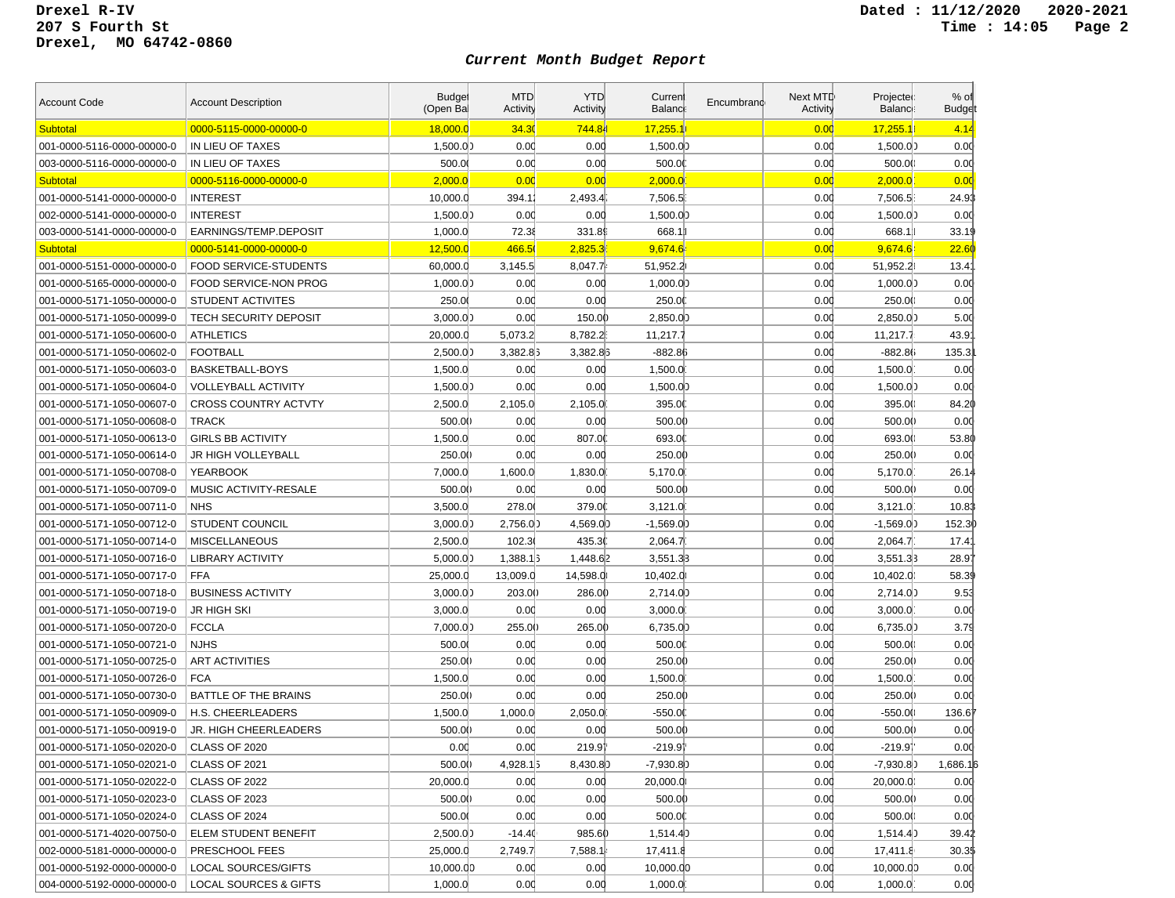| <b>Account Code</b>        | <b>Account Description</b>       | <b>Budget</b><br>(Open Bal | <b>MTD</b><br>Activity | <b>YTD</b><br>Activity | Current<br>Balanc | Encumbrand | Next MTD<br>Activity | Projected<br><b>Balance</b> | % of<br><b>Budget</b> |
|----------------------------|----------------------------------|----------------------------|------------------------|------------------------|-------------------|------------|----------------------|-----------------------------|-----------------------|
| <b>Subtotal</b>            | 0000-5115-0000-00000-0           | 18,000.0                   | 34.30                  | 744.84                 | 17,255.           |            | 0.00                 | 17,255.1                    | 4.14                  |
| 001-0000-5116-0000-00000-0 | IN LIEU OF TAXES                 | 1,500.00                   | 0.00                   | 0.00                   | 1,500.0           |            | 0.00                 | 1,500.00                    | 0.00                  |
| 003-0000-5116-0000-00000-0 | IN LIEU OF TAXES                 | 500.00                     | 0.00                   | 0.00                   | 500.00            |            | 0.00                 | 500.00                      | 0.00                  |
| Subtotal                   | 0000-5116-0000-00000-0           | 2,000.0                    | 0.00                   | 0.00                   | 2,000.0           |            | 0.00                 | 2,000.0                     | 0.00                  |
| 001-0000-5141-0000-00000-0 | <b>INTEREST</b>                  | 10,000.0                   | 394.11                 | 2,493.4                | 7,506.5           |            | 0.00                 | 7,506.5                     | 24.93                 |
| 002-0000-5141-0000-00000-0 | <b>INTEREST</b>                  | 1,500.00                   | 0.00                   | 0.00                   | 1,500.00          |            | 0.00                 | 1,500.00                    | 0.00                  |
| 003-0000-5141-0000-00000-0 | EARNINGS/TEMP.DEPOSIT            | 1,000.0                    | 72.38                  | 331.89                 | 668.1             |            | 0.00                 | 668.1                       | 33.19                 |
| <b>Subtotal</b>            | 0000-5141-0000-00000-0           | 12,500.0                   | 466.50                 | 2,825.3                | 9,674.6           |            | 0.00                 | 9,674.64                    | 22.60                 |
| 001-0000-5151-0000-00000-0 | FOOD SERVICE-STUDENTS            | 60,000.0                   | 3,145.5                | 8,047.7                | 51,952.2          |            | 0.00                 | 51,952.2                    | 13.4'                 |
| 001-0000-5165-0000-00000-0 | <b>FOOD SERVICE-NON PROG</b>     | 1,000.00                   | 0.00                   | 0.00                   | 1,000.00          |            | 0.00                 | 1,000.00                    | 0.00                  |
| 001-0000-5171-1050-00000-0 | <b>STUDENT ACTIVITES</b>         | 250.0                      | 0.00                   | 0.00                   | 250.00            |            | 0.00                 | 250.00                      | 0.00                  |
| 001-0000-5171-1050-00099-0 | <b>TECH SECURITY DEPOSIT</b>     | 3,000.00                   | 0.00                   | 150.00                 | 2,850.00          |            | 0.00                 | 2,850.00                    | 5.00                  |
| 001-0000-5171-1050-00600-0 | <b>ATHLETICS</b>                 | 20,000.0                   | 5,073.2                | 8,782.2                | 11,217.7          |            | 0.00                 | 11,217.7                    | 43.9'                 |
| 001-0000-5171-1050-00602-0 | <b>FOOTBALL</b>                  | 2,500.00                   | 3,382.83               | 3,382.85               | $-882.86$         |            | 0.00                 | $-882.86$                   | 135.3                 |
| 001-0000-5171-1050-00603-0 | BASKETBALL-BOYS                  | 1,500.0                    | 0.00                   | 0.00                   | 1,500.0           |            | 0.00                 | 1,500.0                     | 0.00                  |
| 001-0000-5171-1050-00604-0 | VOLLEYBALL ACTIVITY              | 1,500.00                   | 0.00                   | 0.00                   | 1,500.00          |            | 0.00                 | 1,500.00                    | 0.00                  |
| 001-0000-5171-1050-00607-0 | <b>CROSS COUNTRY ACTVTY</b>      | 2,500.0                    | 2,105.0                | 2,105.0                | 395.0             |            | 0.00                 | 395.00                      | 84.20                 |
| 001-0000-5171-1050-00608-0 | <b>TRACK</b>                     | 500.00                     | 0.00                   | 0.00                   | 500.00            |            | 0.00                 | 500.00                      | 0.00                  |
| 001-0000-5171-1050-00613-0 | <b>GIRLS BB ACTIVITY</b>         | 1,500.0                    | 0.00                   | 807.00                 | 693.0             |            | 0.00                 | 693.00                      | 53.80                 |
| 001-0000-5171-1050-00614-0 | JR HIGH VOLLEYBALL               | 250.00                     | 0.00                   | 0.00                   | 250.00            |            | 0.00                 | 250.00                      | 0.00                  |
| 001-0000-5171-1050-00708-0 | <b>YEARBOOK</b>                  | 7,000.0                    | 1,600.0                | 1,830.0                | 5,170.0           |            | 0.00                 | 5.170.0                     | 26.14                 |
| 001-0000-5171-1050-00709-0 | MUSIC ACTIVITY-RESALE            | 500.00                     | 0.00                   | 0.00                   | 500.00            |            | 0.00                 | 500.0()                     | 0.00                  |
| 001-0000-5171-1050-00711-0 | <b>NHS</b>                       | 3,500.0                    | 278.00                 | 379.00                 | 3,121.0           |            | 0.00                 | 3.121.0                     | 10.83                 |
| 001-0000-5171-1050-00712-0 | <b>STUDENT COUNCIL</b>           | 3,000.00                   | 2,756.00               | 4,569.00               | $-1,569.0)$       |            | 0.00                 | $-1,569.00$                 | 152.30                |
| 001-0000-5171-1050-00714-0 | <b>MISCELLANEOUS</b>             | 2,500.0                    | 102.3                  | 435.30                 | 2,064.7           |            | 0.00                 | 2,064.7                     | 17.41                 |
| 001-0000-5171-1050-00716-0 | <b>LIBRARY ACTIVITY</b>          | 5,000.00                   | 1,388.1                | 1,448.62               | 3,551.33          |            | 0.00                 | 3,551.33                    | 28.97                 |
| 001-0000-5171-1050-00717-0 | <b>FFA</b>                       | 25,000.0                   | 13,009.0               | 14,598.0               | 10,402.0          |            | 0.00                 | 10,402.0                    | 58.39                 |
| 001-0000-5171-1050-00718-0 | <b>BUSINESS ACTIVITY</b>         | 3,000.00                   | 203.00                 | 286.00                 | 2,714.00          |            | 0.00                 | 2,714.00                    | 9.53                  |
| 001-0000-5171-1050-00719-0 | JR HIGH SKI                      | 3,000.0                    | 0.00                   | 0.00                   | 3,000.0           |            | 0.00                 | 3,000.0                     | 0.00                  |
| 001-0000-5171-1050-00720-0 | <b>FCCLA</b>                     | 7,000.00                   | 255.00                 | 265.00                 | 6,735.0)          |            | 0.00                 | 6,735.0                     | 3.79                  |
| 001-0000-5171-1050-00721-0 | <b>NJHS</b>                      | 500.00                     | 0.00                   | 0.00                   | 500.00            |            | 0.00                 | 500.00                      | 0.00                  |
| 001-0000-5171-1050-00725-0 | <b>ART ACTIVITIES</b>            | 250.00                     | 0.00                   | 0.00                   | 250.00            |            | 0.00                 | 250.00                      | 0.00                  |
| 001-0000-5171-1050-00726-0 | <b>FCA</b>                       | 1,500.0                    | 0.00                   | 0.00                   | 1,500.0           |            | 0.00                 | 1,500.0                     | 0.00                  |
| 001-0000-5171-1050-00730-0 | <b>BATTLE OF THE BRAINS</b>      | 250.00                     | 0.00                   | 0.00                   | 250.00            |            | 0.00                 | 250.00                      | 0.00                  |
| 001-0000-5171-1050-00909-0 | H.S. CHEERLEADERS                | 1,500.0                    | 1,000.0                | 2,050.0                | $-550.00$         |            | 0.00                 | -550.00                     | 136.6                 |
| 001-0000-5171-1050-00919-0 | JR. HIGH CHEERLEADERS            | 500.00                     | 0.00                   | 0.00                   | 500.00            |            | 0.00                 | 500.00                      | 0.00                  |
| 001-0000-5171-1050-02020-0 | CLASS OF 2020                    | 0.00                       | 0.00                   | 219.91                 | $-219.91$         |            | 0.00                 | -219.91                     | 0.00                  |
| 001-0000-5171-1050-02021-0 | <b>CLASS OF 2021</b>             | 500.00                     | 4,928.15               | 8,430.80               | $-7,930.8$        |            | 0.00                 | $-7,930.8$                  | 1,686.16              |
| 001-0000-5171-1050-02022-0 | CLASS OF 2022                    | 20,000.0                   | 0.00                   | 0.00                   | 20,000.0          |            | 0.00                 | 20,000.0                    | 0.00                  |
| 001-0000-5171-1050-02023-0 | <b>CLASS OF 2023</b>             | 500.00                     | 0.00                   | 0.00                   | 500.00            |            | 0.00                 | 500.0()                     | 0.00                  |
| 001-0000-5171-1050-02024-0 | CLASS OF 2024                    | 500.00                     | 0.00                   | 0.00                   | 500.00            |            | 0.00                 | 500.0()                     | 0.00                  |
| 001-0000-5171-4020-00750-0 | ELEM STUDENT BENEFIT             | 2,500.00                   | $-14.40$               | 985.60                 | 1,514.4           |            | 0.00                 | 1,514.4)                    | 39.42                 |
| 002-0000-5181-0000-00000-0 | PRESCHOOL FEES                   | 25,000.0                   | 2,749.7                | 7,588.1                | 17,411.8          |            | 0.00                 | 17,411.8                    | 30.3\$                |
| 001-0000-5192-0000-00000-0 | <b>LOCAL SOURCES/GIFTS</b>       | 10,000.00                  | 0.00                   | 0.00                   | 10,000.00         |            | 0.00                 | 10,000.00                   | 0.00                  |
| 004-0000-5192-0000-00000-0 | <b>LOCAL SOURCES &amp; GIFTS</b> | 1,000.0                    | 0.00                   | 0.00                   | 1,000.0           |            | 0.00                 | 1,000.0                     | 0.00                  |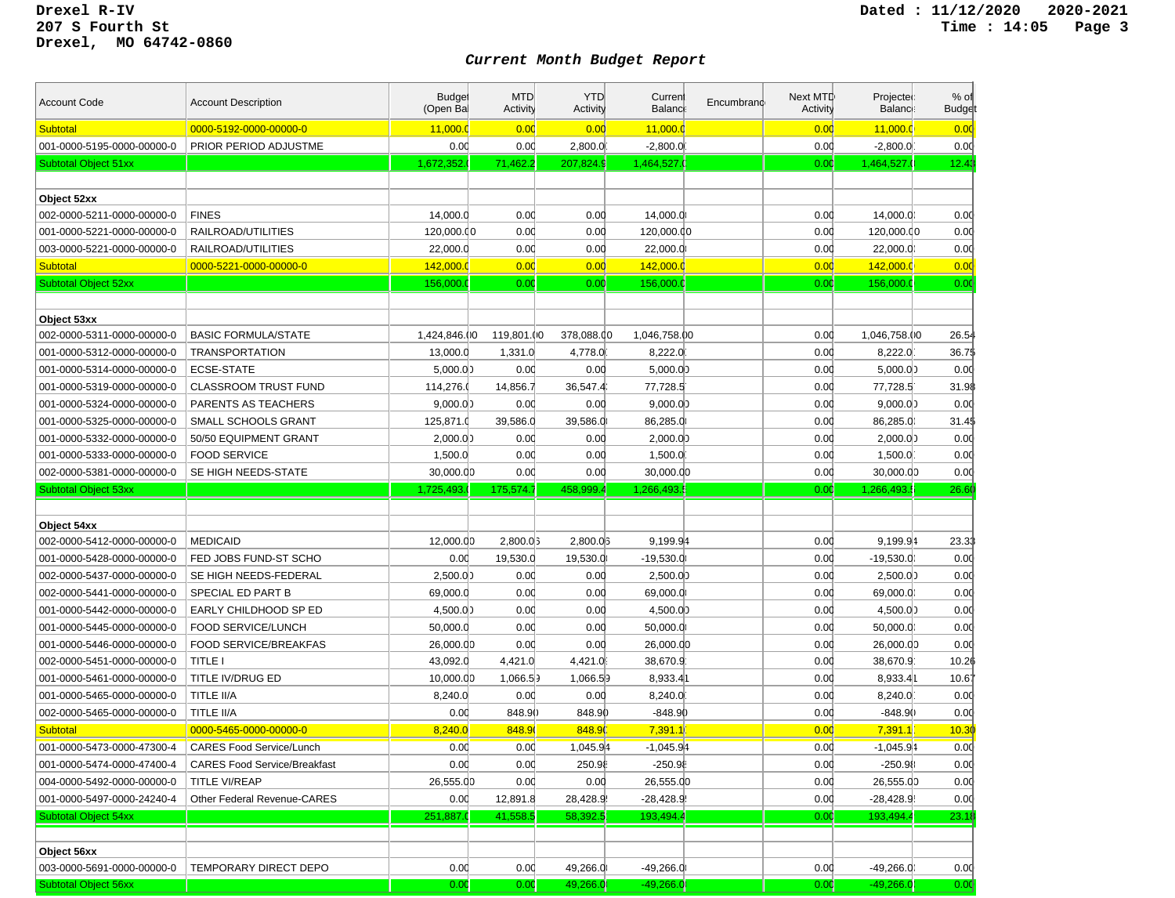| <b>Account Code</b>         | <b>Account Description</b>          | <b>Budget</b><br>(Open Bal | <b>MTD</b><br><b>Activity</b> | <b>YTD</b><br>Activity | Curren<br><b>Balance</b> | Encumbrand | Next MTD<br>Activity | Projected<br><b>Balance</b> | $%$ of<br><b>Budge</b> |
|-----------------------------|-------------------------------------|----------------------------|-------------------------------|------------------------|--------------------------|------------|----------------------|-----------------------------|------------------------|
| <b>Subtotal</b>             | 0000-5192-0000-00000-0              | 11,000.0                   | 0.00                          | 0.00                   | 11,000.0                 |            | 0.00                 | 11,000.0                    | 0.00                   |
| 001-0000-5195-0000-00000-0  | PRIOR PERIOD ADJUSTME               | 0.00                       | 0.00                          | 2,800.0                | $-2,800.0$               |            | 0.00                 | $-2,800.0$                  | 0.00                   |
| Subtotal Object 51xx        |                                     | 1,672,352.                 | 71,462.2                      | 207,824.9              | 1,464,527                |            | 0.00                 | 1.464.527.0                 | 12.43                  |
|                             |                                     |                            |                               |                        |                          |            |                      |                             |                        |
| Object 52xx                 |                                     |                            |                               |                        |                          |            |                      |                             |                        |
| 002-0000-5211-0000-00000-0  | <b>FINES</b>                        | 14,000.0                   | 0.00                          | 0.00                   | 14,000.0                 |            | 0.00                 | 14,000.00                   | 0.00                   |
| 001-0000-5221-0000-00000-0  | RAILROAD/UTILITIES                  | 120,000.00                 | 0.00                          | 0.00                   | 120,000.00               |            | 0.00                 | 120,000.00                  | 0.00                   |
| 003-0000-5221-0000-00000-0  | RAILROAD/UTILITIES                  | 22,000.0                   | 0.00                          | 0.00                   | 22,000.0                 |            | 0.00                 | 22,000.0                    | 0.00                   |
| <b>Subtotal</b>             | 0000-5221-0000-00000-0              | 142,000.0                  | 0.00                          | 0.00                   | 142,000.                 |            | 0.00                 | 142,000.0                   | 0.00                   |
| <b>Subtotal Object 52xx</b> |                                     | 156,000.0                  | 0.00                          | 0.00                   | 156,000.                 |            | 0.00                 | 156,000.0                   | 0.00                   |
|                             |                                     |                            |                               |                        |                          |            |                      |                             |                        |
| Object 53xx                 |                                     |                            |                               |                        |                          |            |                      |                             |                        |
| 002-0000-5311-0000-00000-0  | <b>BASIC FORMULA/STATE</b>          | 1,424,846.00               | 119,801.00                    | 378,088.00             | 1,046,758.00             |            | 0.00                 | 1,046,758.00                | 26.54                  |
| 001-0000-5312-0000-00000-0  | <b>TRANSPORTATION</b>               | 13,000.0                   | 1,331.0                       | 4,778.0                | 8,222.0                  |            | 0.00                 | 8,222.0                     | 36.7\$                 |
| 001-0000-5314-0000-00000-0  | ECSE-STATE                          | 5,000.00                   | 0.00                          | 0.00                   | 5,000.0                  |            | 0.00                 | 5,000.00                    | 0.00                   |
| 001-0000-5319-0000-00000-0  | <b>CLASSROOM TRUST FUND</b>         | 114,276.0                  | 14,856.7                      | 36,547.4               | 77,728.5                 |            | 0.00                 | 77,728.5                    | 31.98                  |
| 001-0000-5324-0000-00000-0  | PARENTS AS TEACHERS                 | 9,000.00                   | 0.00                          | 0.00                   | 9,000.0                  |            | 0.00                 | 9,000.00                    | 0.00                   |
| 001-0000-5325-0000-00000-0  | SMALL SCHOOLS GRANT                 | 125,871.0                  | 39,586.0                      | 39,586.0               | 86,285.0                 |            | 0.00                 | 86,285.0                    | 31.4\$                 |
| 001-0000-5332-0000-00000-0  | 50/50 EQUIPMENT GRANT               | 2,000.00                   | 0.00                          | 0.00                   | 2,000.0                  |            | 0.00                 | 2,000.00                    | 0.00                   |
| 001-0000-5333-0000-00000-0  | <b>FOOD SERVICE</b>                 | 1,500.0                    | 0.00                          | 0.00                   | 1,500.0                  |            | 0.00                 | 1,500.0                     | 0.00                   |
| 002-0000-5381-0000-00000-0  | SE HIGH NEEDS-STATE                 | 30,000.00                  | 0.00                          | 0.00                   | 30,000.00                |            | 0.00                 | 30,000.00                   | 0.00                   |
|                             |                                     |                            |                               |                        |                          |            |                      |                             |                        |
| <b>Subtotal Object 53xx</b> |                                     | 1,725,493.                 | 175,574.7                     | 458.999.               | 1,266,493.               |            | 0.00                 | 1,266,493.                  | 26.60                  |
|                             |                                     |                            |                               |                        |                          |            |                      |                             |                        |
| Object 54xx                 |                                     |                            |                               |                        |                          |            |                      |                             |                        |
| 002-0000-5412-0000-00000-0  | <b>MEDICAID</b>                     | 12,000.00                  | 2,800.0                       | 2,800.03               | 9,199.94                 |            | 0.00                 | 9,199.94                    | 23.33                  |
| 001-0000-5428-0000-00000-0  | FED JOBS FUND-ST SCHO               | 0.00                       | 19,530.0                      | 19,530.0               | $-19,530.0$              |            | 0.00                 | $-19,530.00$                | 0.00                   |
| 002-0000-5437-0000-00000-0  | SE HIGH NEEDS-FEDERAL               | 2,500.00                   | 0.00                          | 0.00                   | 2,500.0                  |            | 0.00                 | 2,500.00                    | 0.00                   |
| 002-0000-5441-0000-00000-0  | SPECIAL ED PART B                   | 69,000.0                   | 0.00                          | 0.00                   | 69,000.0                 |            | 0.00                 | 69,000.0                    | 0.00                   |
| 001-0000-5442-0000-00000-0  | EARLY CHILDHOOD SP ED               | 4,500.00                   | 0.00                          | 0.00                   | 4,500.00                 |            | 0.00                 | 4,500.00                    | 0.00                   |
| 001-0000-5445-0000-00000-0  | <b>FOOD SERVICE/LUNCH</b>           | 50,000.0                   | 0.00                          | 0.00                   | 50,000.0                 |            | 0.00                 | 50,000.00                   | 0.00                   |
| 001-0000-5446-0000-00000-0  | FOOD SERVICE/BREAKFAS               | 26,000.00                  | 0.00                          | 0.00                   | 26,000.00                |            | 0.00                 | 26,000.00                   | 0.00                   |
| 002-0000-5451-0000-00000-0  | TITLE I                             | 43,092.0                   | 4,421.0                       | 4,421.0                | 38,670.9                 |            | 0.00                 | 38,670.9                    | 10.26                  |
| 001-0000-5461-0000-00000-0  | TITLE IV/DRUG ED                    | 10,000.00                  | 1,066.53                      | 1,066.59               | 8,933.41                 |            | 0.00                 | 8,933.41                    | 10.67                  |
| 001-0000-5465-0000-00000-0  | TITLE II/A                          | 8,240.0                    | 0.00                          | 0.00                   | 8,240.0                  |            | 0.00                 | 8,240.0                     | 0.00                   |
| 002-0000-5465-0000-00000-0  | <b>TITLE II/A</b>                   | 0.00                       | 848.90                        | 848.90                 | $-848.9()$               |            | 0.00                 | $-848.9()$                  | 0.00                   |
| <b>Subtotal</b>             | 0000-5465-0000-00000-0              | 8,240.0                    | 848.9                         | 848.90                 | 7,391.1                  |            | 0.00                 | 7,391.1                     | 10.30                  |
| 001-0000-5473-0000-47300-4  | <b>CARES Food Service/Lunch</b>     | 0.00                       | 0.00                          | 1,045.94               | $-1,045.94$              |            | 0.00                 | $-1,045.94$                 | 0.00                   |
| 001-0000-5474-0000-47400-4  | <b>CARES Food Service/Breakfast</b> | 0.00                       | 0.00                          | 250.98                 | $-250.96$                |            | 0.00                 | -250.98                     | 0.00                   |
| 004-0000-5492-0000-00000-0  | <b>TITLE VI/REAP</b>                | 26,555.00                  | 0.00                          | 0.00                   | 26,555.00                |            | 0.00                 | 26,555.00                   | 0.00                   |
| 001-0000-5497-0000-24240-4  | Other Federal Revenue-CARES         | 0.00                       | 12,891.8                      | 28,428.9               | $-28,428.9$              |            | 0.00                 | $-28,428.9$                 | 0.00                   |
| <b>Subtotal Object 54xx</b> |                                     | 251,887.0                  | 41,558.5                      | 58,392.5               | 193,494.                 |            | 0.00                 | 193,494.4                   | 23.18                  |
|                             |                                     |                            |                               |                        |                          |            |                      |                             |                        |
| Object 56xx                 |                                     |                            |                               |                        |                          |            |                      |                             |                        |
| 003-0000-5691-0000-00000-0  | TEMPORARY DIRECT DEPO               | 0.00                       | 0.00                          | 49,266.0               | $-49,266.0$              |            | 0.00                 | $-49,266.00$                | 0.00                   |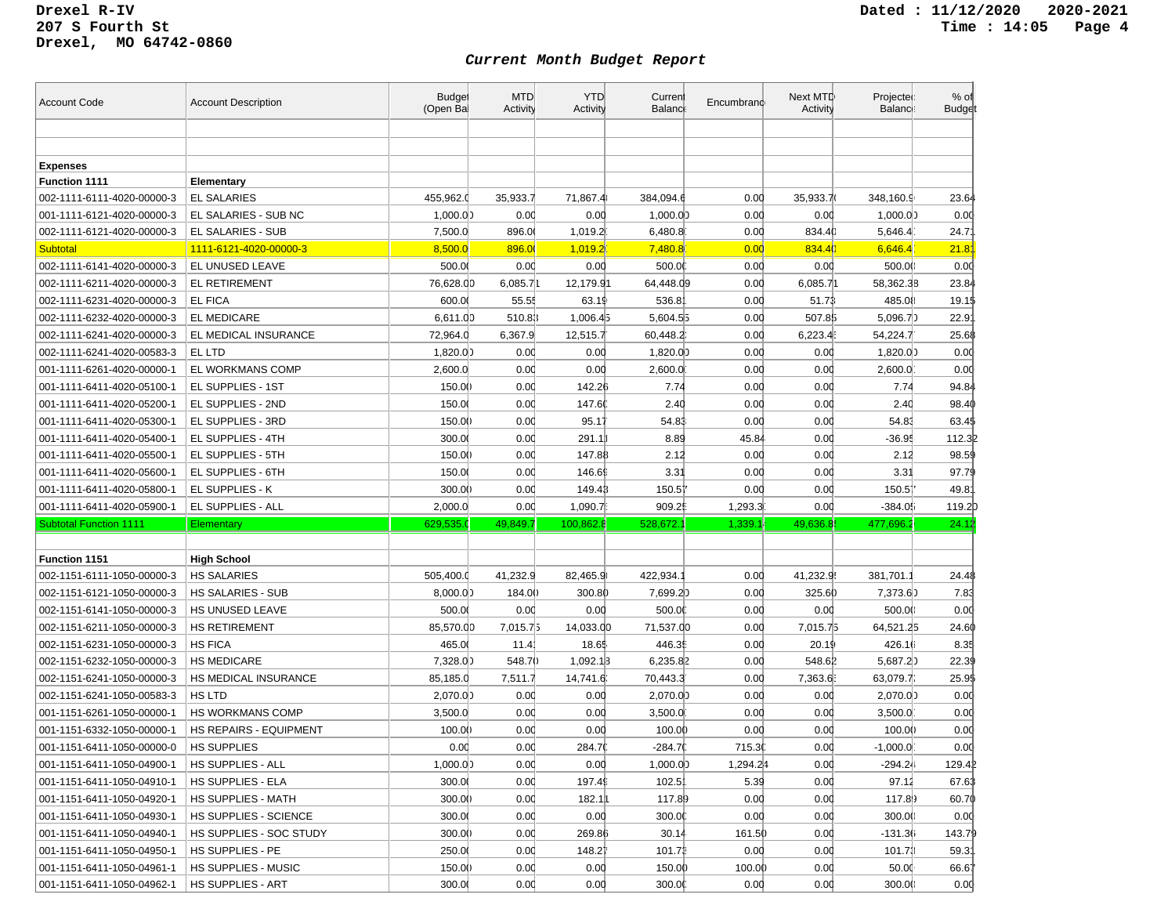| <b>Account Code</b>           | <b>Account Description</b>    | <b>Budget</b><br>(Open Bal | <b>MTD</b><br><b>Activity</b> | <b>YTD</b><br>Activity | Current<br><b>Balanc</b> | Encumbrand | Next MTD<br>Activity | Projected<br>Balance: | $%$ of<br><b>Budget</b> |
|-------------------------------|-------------------------------|----------------------------|-------------------------------|------------------------|--------------------------|------------|----------------------|-----------------------|-------------------------|
|                               |                               |                            |                               |                        |                          |            |                      |                       |                         |
|                               |                               |                            |                               |                        |                          |            |                      |                       |                         |
| <b>Expenses</b>               |                               |                            |                               |                        |                          |            |                      |                       |                         |
| <b>Function 1111</b>          | Elementary                    |                            |                               |                        |                          |            |                      |                       |                         |
| 002-1111-6111-4020-00000-3    | <b>EL SALARIES</b>            | 455,962.0                  | 35,933.7                      | 71,867.4               | 384,094.6                | 0.00       | 35,933.7             | 348,160.9             | 23.64                   |
| 001-1111-6121-4020-00000-3    | EL SALARIES - SUB NC          | 1,000.00                   | 0.00                          | 0.00                   | 1,000.00                 | 0.00       | 0.00                 | 1,000.00              | 0.00                    |
| 002-1111-6121-4020-00000-3    | EL SALARIES - SUB             | 7,500.0                    | 896.0                         | 1,019.2                | 6,480.8                  | 0.00       | 834.40               | 5,646.4               | 24.7'                   |
| Subtotal                      | 1111-6121-4020-00000-3        | 8,500.0                    | 896.00                        | 1,019.2                | 7,480.8                  | 0.00       | 834.4                | 6,646.4               | 21.8                    |
| 002-1111-6141-4020-00000-3    | EL UNUSED LEAVE               | 500.00                     | 0.00                          | 0.00                   | 500.0                    | 0.00       | 0.00                 | 500.0()               | 0.00                    |
| 002-1111-6211-4020-00000-3    | <b>EL RETIREMENT</b>          | 76,628.00                  | 6,085.7                       | 12,179.91              | 64,448.09                | 0.00       | 6,085.71             | 58,362.38             | 23.84                   |
| 002-1111-6231-4020-00000-3    | <b>EL FICA</b>                | 600.00                     | 55.55                         | 63.19                  | 536.8                    | 0.00       | 51.73                | 485.08                | 19.1\$                  |
| 002-1111-6232-4020-00000-3    | <b>EL MEDICARE</b>            | 6,611.00                   | 510.83                        | 1,006.45               | 5,604.55                 | 0.00       | 507.85               | 5,096.7)              | 22.9                    |
| 002-1111-6241-4020-00000-3    | EL MEDICAL INSURANCE          | 72,964.0                   | 6,367.9                       | 12,515.7               | 60,448.2                 | 0.00       | 6,223.4              | 54,224.7              | 25.68                   |
| 002-1111-6241-4020-00583-3    | EL LTD                        | 1,820.00                   | 0.00                          | 0.00                   | 1,820.00                 | 0.00       | 0.00                 | 1,820.00              | 0.00                    |
| 001-1111-6261-4020-00000-1    | EL WORKMANS COMP              | 2,600.0                    | 0.00                          | 0.00                   | 2,600.0                  | 0.00       | 0.00                 | 2,600.0               | 0.00                    |
| 001-1111-6411-4020-05100-1    | EL SUPPLIES - 1ST             | 150.00                     | 0.00                          | 142.26                 | 7.74                     | 0.00       | 0.00                 | 7.74                  | 94.84                   |
| 001-1111-6411-4020-05200-1    | EL SUPPLIES - 2ND             | 150.0                      | 0.00                          | 147.60                 | 2.40                     | 0.00       | 0.00                 | 2.40                  | 98.40                   |
| 001-1111-6411-4020-05300-1    | EL SUPPLIES - 3RD             | 150.00                     | 0.00                          | 95.17                  | 54.83                    | 0.00       | 0.00                 | 54.83                 | 63.4\$                  |
| 001-1111-6411-4020-05400-1    | EL SUPPLIES - 4TH             | 300.00                     | 0.00                          | 291.1                  | 8.89                     | 45.84      | 0.00                 | $-36.95$              | 112.32                  |
| 001-1111-6411-4020-05500-1    | EL SUPPLIES - 5TH             | 150.00                     | 0.00                          | 147.88                 | 2.12                     | 0.00       | 0.00                 | 2.12                  | 98.59                   |
| 001-1111-6411-4020-05600-1    | EL SUPPLIES - 6TH             | 150.0                      | 0.00                          | 146.69                 | 3.31                     | 0.00       | 0.00                 | 3.31                  | 97.79                   |
| 001-1111-6411-4020-05800-1    | EL SUPPLIES - K               | 300.00                     | 0.00                          | 149.43                 | 150.51                   | 0.00       | 0.00                 | 150.57                | 49.8                    |
|                               |                               |                            |                               |                        |                          |            |                      |                       |                         |
| 001-1111-6411-4020-05900-1    | EL SUPPLIES - ALL             | 2,000.0                    | 0.00                          | 1,090.7                | 909.2                    | 1,293.3    | 0.00                 | -384.05               | 119.2                   |
| <b>Subtotal Function 1111</b> | Elementary                    | 629,535.0                  | 49,849.7                      | 100,862.8              | 528,672.                 | 1,339.1    | 49,636.8             | 477,696.2             | 24.12                   |
|                               |                               |                            |                               |                        |                          |            |                      |                       |                         |
| <b>Function 1151</b>          | <b>High School</b>            |                            |                               |                        |                          |            |                      |                       |                         |
| 002-1151-6111-1050-00000-3    | <b>HS SALARIES</b>            | 505,400.0                  | 41,232.9                      | 82,465.9               | 422,934.                 | 0.00       | 41,232.9             | 381,701.1             | 24.48                   |
| 002-1151-6121-1050-00000-3    | <b>HS SALARIES - SUB</b>      | 8,000.00                   | 184.00                        | 300.80                 | 7,699.20                 | 0.00       | 325.60               | 7,373.60              | 7.83                    |
| 002-1151-6141-1050-00000-3    | HS UNUSED LEAVE               | 500.00                     | 0.00                          | 0.00                   | 500.00                   | 0.00       | 0.00                 | 500.00                | 0.00                    |
| 002-1151-6211-1050-00000-3    | <b>HS RETIREMENT</b>          | 85,570.00                  | 7,015.75                      | 14,033.00              | 71,537.00                | 0.00       | 7,015.75             | 64,521.25             | 24.60                   |
| 002-1151-6231-1050-00000-3    | <b>HS FICA</b>                | 465.0                      | 11.4                          | 18.65                  | 446.3                    | 0.00       | 20.19                | 426.16                | 8.35                    |
| 002-1151-6232-1050-00000-3    | <b>HS MEDICARE</b>            | 7,328.00                   | 548.70                        | 1,092.13               | 6,235.82                 | 0.00       | 548.61               | 5,687.20              | 22.39                   |
| 002-1151-6241-1050-00000-3    | HS MEDICAL INSURANCE          | 85,185.0                   | 7,511.7                       | 14,741.6               | 70,443.3                 | 0.00       | 7,363.6              | 63,079.7              | 25.9\$                  |
| 002-1151-6241-1050-00583-3    | <b>HS LTD</b>                 | 2,070.00                   | 0.00                          | 0.00                   | 2,070.00                 | 0.00       | 0.00                 | 2,070.00              | 0.00                    |
| 001-1151-6261-1050-00000-1    | <b>HS WORKMANS COMP</b>       | 3,500.0                    | 0.00                          | 0.00                   | 3,500.0                  | 0.00       | 0.00                 | 3,500.0               | 0.00                    |
| 001-1151-6332-1050-00000-1    | <b>HS REPAIRS - EQUIPMENT</b> | 100.0()                    | 0.00                          | 0.00                   | 100.00                   | 0.00       | 0.00                 | 100.00                | 0.00                    |
| 001-1151-6411-1050-00000-0    | <b>HS SUPPLIES</b>            | 0.00                       | 0.00                          | 284.70                 | $-284.7($                | 715.30     | 0.00                 | $-1,000.0$            | 0.00                    |
| 001-1151-6411-1050-04900-1    | <b>HS SUPPLIES - ALL</b>      | 1,000.00                   | 0.00                          | 0.00                   | 1.000.00                 | 1,294.24   | 0.00                 | $-294.24$             | 129.42                  |
| 001-1151-6411-1050-04910-1    | HS SUPPLIES - ELA             | 300.00                     | 0.00                          | 197.49                 | 102.5                    | 5.39       | 0.00                 | 97.12                 | 67.63                   |
| 001-1151-6411-1050-04920-1    | HS SUPPLIES - MATH            | 300.00                     | 0.00                          | 182.11                 | 117.89                   | 0.00       | 0.00                 | 117.89                | 60.70                   |
| 001-1151-6411-1050-04930-1    | HS SUPPLIES - SCIENCE         | 300.00                     | 0.00                          | 0.00                   | 300.00                   | 0.00       | 0.00                 | 300.0()               | 0.00                    |
| 001-1151-6411-1050-04940-1    | HS SUPPLIES - SOC STUDY       | 300.00                     | 0.00                          | 269.86                 | 30.14                    | 161.50     | 0.00                 | $-131.36$             | 143.79                  |
| 001-1151-6411-1050-04950-1    | HS SUPPLIES - PE              | 250.00                     | 0.00                          | 148.21                 | 101.71                   | 0.00       | 0.00                 | 101.73                | 59.31                   |
| 001-1151-6411-1050-04961-1    | HS SUPPLIES - MUSIC           | 150.00                     | 0.00                          | 0.00                   | 150.00                   | 100.00     | 0.00                 | 50.00                 | 66.67                   |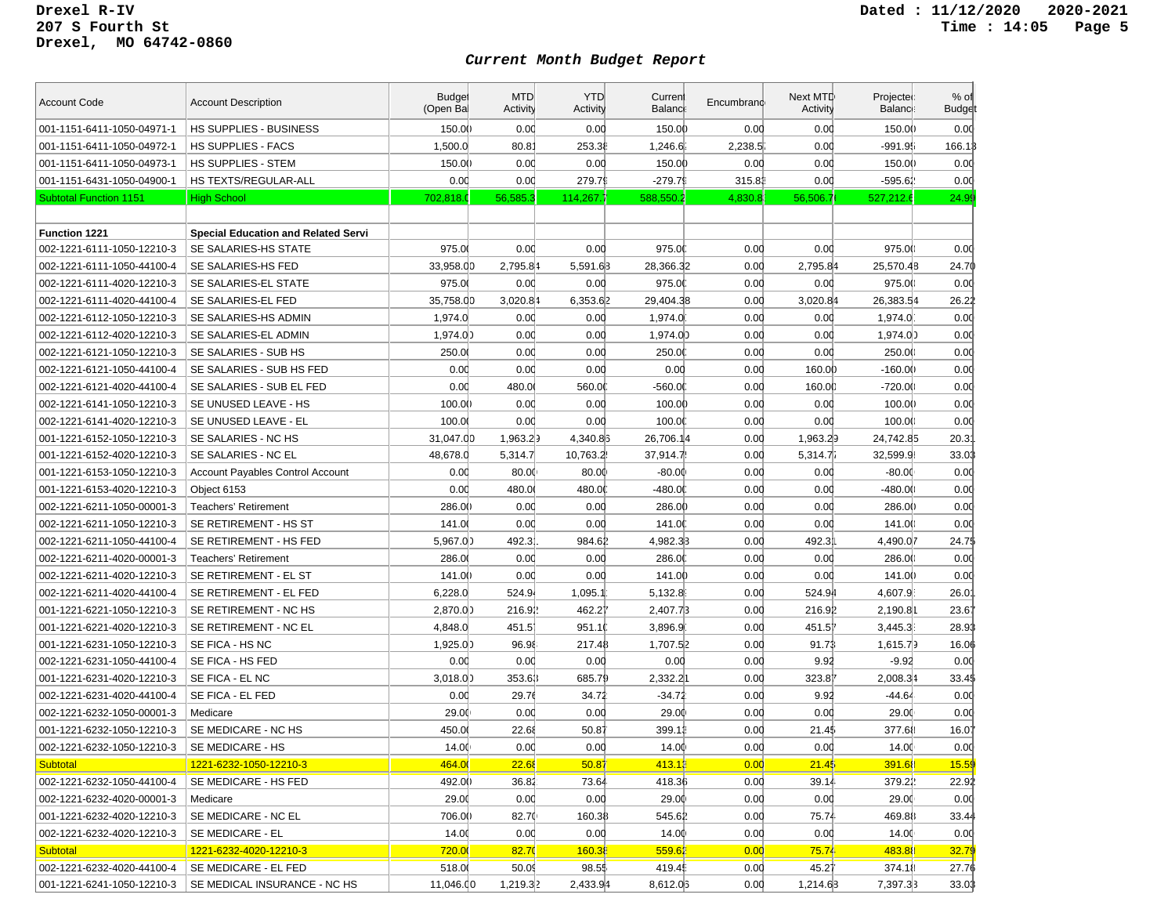| <b>Account Code</b>           | <b>Account Description</b>                 | <b>Budget</b><br>(Open Bal | <b>MTD</b><br>Activity | <b>YTD</b><br>Activity | Curren<br><b>Balanci</b> | Encumbrand | Next MTD<br>Activity | Projected<br>Balance: | $%$ of<br><b>Budge</b> |
|-------------------------------|--------------------------------------------|----------------------------|------------------------|------------------------|--------------------------|------------|----------------------|-----------------------|------------------------|
| 001-1151-6411-1050-04971-1    | HS SUPPLIES - BUSINESS                     | 150.00                     | 0.00                   | 0.00                   | 150.00                   | 0.00       | 0.00                 | 150.00                | 0.00                   |
| 001-1151-6411-1050-04972-1    | <b>HS SUPPLIES - FACS</b>                  | 1,500.0                    | $80.8^{\circ}$         | 253.38                 | 1,246.6                  | 2,238.5    | 0.00                 | -991.95               | 166.1                  |
| 001-1151-6411-1050-04973-1    | HS SUPPLIES - STEM                         | 150.00                     | 0.00                   | 0.00                   | 150.00                   | 0.00       | 0.00                 | 150.00                | 0.00                   |
| 001-1151-6431-1050-04900-1    | HS TEXTS/REGULAR-ALL                       | 0.00                       | 0.00                   | 279.79                 | $-279.79$                | 315.83     | 0.00                 | -595.62               | 0.00                   |
| <b>Subtotal Function 1151</b> | <b>High School</b>                         | 702,818.0                  | 56,585.3               | 114,267.7              | 588,550.2                | 4,830.8    | 56,506.7             | 527,212.6             | 24.99                  |
|                               |                                            |                            |                        |                        |                          |            |                      |                       |                        |
| <b>Function 1221</b>          | <b>Special Education and Related Servi</b> |                            |                        |                        |                          |            |                      |                       |                        |
| 002-1221-6111-1050-12210-3    | SE SALARIES-HS STATE                       | 975.00                     | 0.00                   | 0.00                   | 975.0                    | 0.00       | 0.00                 | 975.00                | 0.00                   |
| 002-1221-6111-1050-44100-4    | SE SALARIES-HS FED                         | 33,958.00                  | 2,795.84               | 5,591.63               | 28,366.32                | 0.00       | 2,795.84             | 25,570.48             | 24.70                  |
| 002-1221-6111-4020-12210-3    | SE SALARIES-EL STATE                       | 975.00                     | 0.00                   | 0.00                   | 975.00                   | 0.00       | 0.00                 | 975.00                | 0.00                   |
| 002-1221-6111-4020-44100-4    | SE SALARIES-EL FED                         | 35,758.00                  | 3,020.84               | 6,353.62               | 29.404.38                | 0.00       | 3,020.84             | 26,383.54             | 26.22                  |
| 002-1221-6112-1050-12210-3    | SE SALARIES-HS ADMIN                       | 1,974.0                    | 0.00                   | 0.00                   | 1,974.0                  | 0.00       | 0.00                 | 1,974.0               | 0.00                   |
| 002-1221-6112-4020-12210-3    | SE SALARIES-EL ADMIN                       | 1,974.00                   | 0.00                   | 0.00                   | 1,974.0)                 | 0.00       | 0.00                 | 1,974.00              | 0.00                   |
| 002-1221-6121-1050-12210-3    | SE SALARIES - SUB HS                       | 250.00                     | 0.00                   | 0.00                   | 250.00                   | 0.00       | 0.00                 | 250.00                | 0.00                   |
| 002-1221-6121-1050-44100-4    | SE SALARIES - SUB HS FED                   | 0.00                       | 0.00                   | 0.00                   | 0.00                     | 0.00       | 160.00               | $-160.00$             | 0.00                   |
| 002-1221-6121-4020-44100-4    | SE SALARIES - SUB EL FED                   | 0.00                       | 480.0                  | 560.00                 | -560.00                  | 0.00       | 160.00               | $-720.0()$            | 0.00                   |
| 002-1221-6141-1050-12210-3    | SE UNUSED LEAVE - HS                       | 100.00                     | 0.00                   | 0.00                   | 100.00                   | 0.00       | 0.00                 | 100.00                | 0.00                   |
| 002-1221-6141-4020-12210-3    | SE UNUSED LEAVE - EL                       | 100.00                     | 0.00                   | 0.00                   | 100.00                   | 0.00       | 0.00                 | 100.00                | 0.00                   |
| 001-1221-6152-1050-12210-3    | SE SALARIES - NC HS                        | 31,047.00                  | 1,963.29               | 4,340.83               | 26,706.14                | 0.00       | 1,963.29             | 24,742.85             | 20.3'                  |
| 001-1221-6152-4020-12210-3    | SE SALARIES - NC EL                        | 48,678.0                   | 5,314.7                | 10,763.2               | 37,914.7                 | 0.00       | 5,314.7i             | 32,599.9              | 33.03                  |
| 001-1221-6153-1050-12210-3    | <b>Account Payables Control Account</b>    | 0.00                       | 80.00                  | 80.00                  | $-80.00$                 | 0.00       | 0.00                 | $-80.00$              | 0.00                   |
| 001-1221-6153-4020-12210-3    | Object 6153                                | 0.00                       | 480.0                  | 480.00                 | $-480.00$                | 0.00       | 0.00                 | -480.00               | 0.00                   |
| 002-1221-6211-1050-00001-3    | <b>Teachers' Retirement</b>                | 286.00                     | 0.00                   | 0.00                   | 286.00                   | 0.00       | 0.00                 | 286.00                | 0.00                   |
| 002-1221-6211-1050-12210-3    | SE RETIREMENT - HS ST                      | 141.0                      | 0.00                   | 0.00                   | 141.00                   | 0.00       | 0.00                 | 141.00                | 0.00                   |
| 002-1221-6211-1050-44100-4    | SE RETIREMENT - HS FED                     | 5,967.00                   | 492.3                  | 984.61                 | 4,982.33                 | 0.00       | 492.3                | 4,490.07              | 24.75                  |
| 002-1221-6211-4020-00001-3    | Teachers' Retirement                       | 286.00                     | 0.00                   | 0.00                   | 286.00                   | 0.00       | 0.00                 | 286.00                | 0.00                   |
| 002-1221-6211-4020-12210-3    | SE RETIREMENT - EL ST                      | 141.00                     | 0.00                   | 0.00                   | 141.00                   | 0.00       | 0.00                 | 141.00                | 0.00                   |
| 002-1221-6211-4020-44100-4    | SE RETIREMENT - EL FED                     | 6,228.0                    | 524.94                 | 1,095.1                | 5,132.8                  | 0.00       | 524.94               | 4,607.9               | 26.0                   |
| 001-1221-6221-1050-12210-3    | SE RETIREMENT - NC HS                      | 2,870.00                   | 216.91                 | 462.21                 | 2,407.73                 | 0.00       | 216.91               | 2,190.81              | 23.61                  |
| 001-1221-6221-4020-12210-3    | SE RETIREMENT - NC EL                      | 4,848.0                    | 451.5                  | 951.10                 | 3,896.9                  | 0.00       | 451.51               | 3,445.3               | 28.93                  |
| 001-1221-6231-1050-12210-3    | SE FICA - HS NC                            | 1,925.00                   | 96.98                  | 217.48                 | 1,707.52                 | 0.00       | 91.71                | 1,615.79              | 16.06                  |
| 002-1221-6231-1050-44100-4    | SE FICA - HS FED                           | 0.00                       | 0.00                   | 0.00                   | 0.00                     | 0.00       | 9.92                 | $-9.92$               | 0.00                   |
| 001-1221-6231-4020-12210-3    | SE FICA - EL NC                            | 3,018.00                   | 353.63                 | 685.79                 | 2,332.21                 | 0.00       | 323.81               | 2,008.34              | 33.45                  |
| 002-1221-6231-4020-44100-4    | SE FICA - EL FED                           | 0.00                       | 29.76                  | 34.72                  | $-34.72$                 | 0.00       | 9.92                 | $-44.64$              | 0.00                   |
| 002-1221-6232-1050-00001-3    | Medicare                                   | 29.00                      | 0.00                   | 0.00                   | 29.00                    | 0.00       | 0.00                 | 29.00                 | 0.00                   |
| 001-1221-6232-1050-12210-3    | SE MEDICARE - NC HS                        | 450.00                     | 22.68                  | 50.87                  | 399.1                    | 0.00       | 21.45                | 377.68                | 16.07                  |
| 002-1221-6232-1050-12210-3    | SE MEDICARE - HS                           | 14.00                      | 0.00                   | 0.00                   | 14.00                    | 0.00       | 0.00                 | 14.00                 | 0.00                   |
| <b>Subtotal</b>               | 1221-6232-1050-12210-3                     | 464.00                     | 22.68                  | 50.87                  | 413.13                   | 0.00       | 21.45                | 391.68                | 15.59                  |
| 002-1221-6232-1050-44100-4    | SE MEDICARE - HS FED                       | 492.00                     | 36.82                  | 73.64                  | 418.36                   | 0.00       | 39.14                | 379.22                | 22.92                  |
| 002-1221-6232-4020-00001-3    | Medicare                                   | 29.00                      | 0.00                   | 0.00                   | 29.00                    | 0.00       | 0.00                 | 29.00                 | 0.00                   |
| 001-1221-6232-4020-12210-3    | SE MEDICARE - NC EL                        | 706.00                     | 82.70                  | 160.38                 | 545.62                   | 0.00       | 75.74                | 469.88                | 33.44                  |
| 002-1221-6232-4020-12210-3    | SE MEDICARE - EL                           | 14.00                      | 0.00                   | 0.00                   | 14.00                    | 0.00       | 0.00                 | 14.00                 | 0.00                   |
| <b>Subtotal</b>               | 1221-6232-4020-12210-3                     | 720.00                     | 82.70                  | 160.38                 | 559.62                   | 0.00       | 75.74                | 483.88                | 32.79                  |
| 002-1221-6232-4020-44100-4    | SE MEDICARE - EL FED                       | 518.0                      | 50.09                  | 98.55                  | 419.4                    | 0.00       | 45.27                | 374.18                | 27.76                  |
| 001-1221-6241-1050-12210-3    | SE MEDICAL INSURANCE - NC HS               | 11,046.00                  | 1,219.32               | 2,433.94               | 8,612.03                 | 0.00       | 1,214.63             | 7,397.33              | 33.03                  |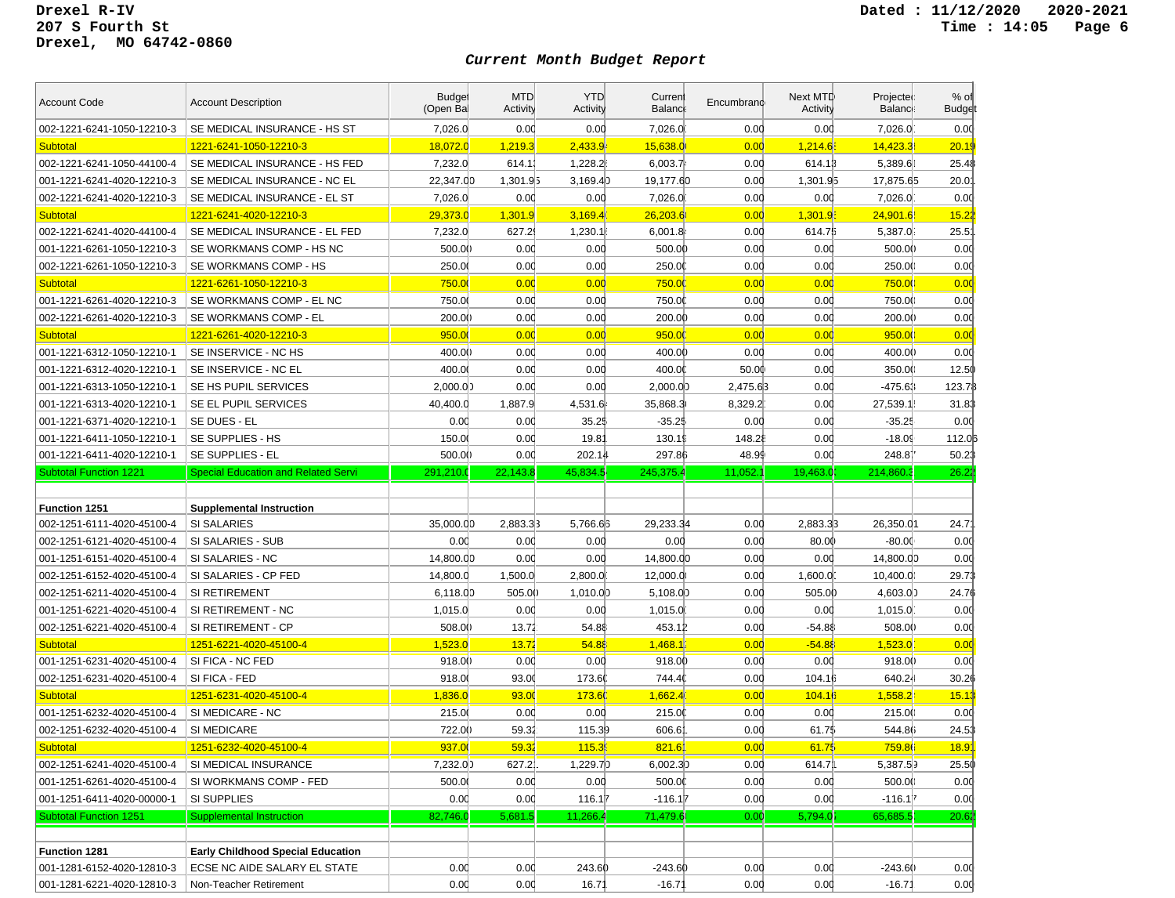| <b>Account Code</b>           | <b>Account Description</b>                 | <b>Budget</b><br>(Open Bal | <b>MTD</b><br>Activity | <b>YTD</b><br>Activity | Current<br><b>Balance</b> | Encumbrand | Next MTD<br>Activity | Projected<br>Balance: | $%$ of<br><b>Budget</b> |
|-------------------------------|--------------------------------------------|----------------------------|------------------------|------------------------|---------------------------|------------|----------------------|-----------------------|-------------------------|
| 002-1221-6241-1050-12210-3    | SE MEDICAL INSURANCE - HS ST               | 7,026.0                    | 0.00                   | 0.00                   | 7,026.0                   | 0.00       | 0.00                 | 7.026.0               | 0.00                    |
| <b>Subtotal</b>               | <u>1221-6241-1050-12210-3</u>              | 18,072.0                   | 1,219.3                | 2,433.9                | 15,638.0                  | 0.00       | 1,214.6              | 14,423.3              | 20.19                   |
| 002-1221-6241-1050-44100-4    | SE MEDICAL INSURANCE - HS FED              | 7,232.0                    | 614.1                  | 1,228.2                | 6,003.7                   | 0.00       | 614.13               | 5,389.61              | 25.48                   |
| 001-1221-6241-4020-12210-3    | SE MEDICAL INSURANCE - NC EL               | 22,347.00                  | 1,301.95               | 3,169.4                | 19,177.60                 | 0.00       | 1,301.95             | 17,875.65             | 20.0 <sup>2</sup>       |
| 002-1221-6241-4020-12210-3    | SE MEDICAL INSURANCE - EL ST               | 7,026.0                    | 0.00                   | 0.00                   | 7,026.0                   | 0.00       | 0.00                 | 7,026.0               | 0.00                    |
| <b>Subtotal</b>               | 1221-6241-4020-12210-3                     | 29,373.0                   | 1,301.9                | 3,169.4                | 26,203.6                  | 0.00       | 1,301.9              | 24,901.6              | 15.22                   |
| 002-1221-6241-4020-44100-4    | SE MEDICAL INSURANCE - EL FED              | 7,232.0                    | 627.2                  | 1,230.1                | 6,001.8                   | 0.00       | 614.75               | 5,387.0               | $25.5^{\circ}$          |
| 001-1221-6261-1050-12210-3    | SE WORKMANS COMP - HS NC                   | 500.00                     | 0.00                   | 0.00                   | 500.00                    | 0.00       | 0.00                 | 500.00                | 0.00                    |
| 002-1221-6261-1050-12210-3    | SE WORKMANS COMP - HS                      | 250.0                      | 0.00                   | 0.00                   | 250.0                     | 0.00       | 0.00                 | 250.00                | 0.00                    |
| Subtotal                      | 1221-6261-1050-12210-3                     | 750.00                     | 0.00                   | 0.00                   | 750.0                     | 0.00       | 0.00                 | 750.00                | 0.00                    |
| 001-1221-6261-4020-12210-3    | SE WORKMANS COMP - EL NC                   | 750.0                      | 0.00                   | 0.00                   | 750.0                     | 0.00       | 0.00                 | 750.00                | 0.00                    |
| 002-1221-6261-4020-12210-3    | SE WORKMANS COMP - EL                      | 200.00                     | 0.00                   | 0.00                   | 200.00                    | 0.00       | 0.00                 | 200.0()               | 0.00                    |
| <b>Subtotal</b>               | 1221-6261-4020-12210-3                     | 950.0                      | 0.00                   | 0.00                   | 950.00                    | 0.00       | 0.00                 | 950.0                 | 0.00                    |
| 001-1221-6312-1050-12210-1    | SE INSERVICE - NC HS                       | 400.00                     | 0.00                   | 0.00                   | 400.00                    | 0.00       | 0.00                 | 400.00                | 0.00                    |
| 001-1221-6312-4020-12210-1    | SE INSERVICE - NC EL                       | 400.00                     | 0.00                   | 0.00                   | 400.00                    | 50.00      | 0.00                 | 350.00                | 12.50                   |
| 001-1221-6313-1050-12210-1    | SE HS PUPIL SERVICES                       | 2.000.00                   | 0.00                   | 0.00                   | 2,000.0                   | 2,475.63   | 0.00                 | $-475.63$             | 123.7₿                  |
| 001-1221-6313-4020-12210-1    | SE EL PUPIL SERVICES                       | 40,400.0                   | 1,887.9                | 4,531.6                | 35,868.3                  | 8,329.2    | 0.00                 | 27,539.1              | 31.83                   |
| 001-1221-6371-4020-12210-1    | SE DUES - EL                               | 0.00                       | 0.00                   | 35.25                  | $-35.25$                  | 0.00       | 0.00                 | $-35.25$              | 0.00                    |
| 001-1221-6411-1050-12210-1    | SE SUPPLIES - HS                           | 150.0                      | 0.00                   | 19.8                   | 130.1                     | 148.28     | 0.00                 | $-18.09$              | 112.0                   |
| 001-1221-6411-4020-12210-1    | SE SUPPLIES - EL                           | 500.00                     | 0.00                   | 202.14                 | 297.86                    | 48.99      | 0.00                 | 248.81                | 50.23                   |
| <b>Subtotal Function 1221</b> | <b>Special Education and Related Servi</b> | 291,210.0                  | 22,143.8               | 45,834.5               | 245.375.4                 | 11,052.1   | 19,463.0             | 214,860.3             | 26.22                   |
|                               |                                            |                            |                        |                        |                           |            |                      |                       |                         |
| Function 1251                 | <b>Supplemental Instruction</b>            |                            |                        |                        |                           |            |                      |                       |                         |
| 002-1251-6111-4020-45100-4    | <b>SI SALARIES</b>                         | 35.000.00                  | 2,883.33               | 5,766.63               | 29,233.34                 | 0.00       | 2,883.33             | 26,350.01             | 24.7'                   |
| 002-1251-6121-4020-45100-4    | SI SALARIES - SUB                          | 0.00                       | 0.00                   | 0.00                   | 0.00                      | 0.00       | 80.00                | -80.00                | 0.00                    |
| 001-1251-6151-4020-45100-4    | SI SALARIES - NC                           | 14,800.00                  | 0.00                   | 0.00                   | 14,800.00                 | 0.00       |                      |                       |                         |
| 002-1251-6152-4020-45100-4    |                                            |                            |                        |                        |                           |            | 0.00                 | 14,800.00             | 0.00                    |
|                               | SI SALARIES - CP FED                       | 14,800.0                   | 1,500.0                | 2,800.0                | 12,000.0                  | 0.00       | 1,600.0              | 10,400.0              | 29.73                   |
| 002-1251-6211-4020-45100-4    | SI RETIREMENT                              | 6,118.00                   | 505.0()                | 1,010.00               | 5,108.0                   | 0.00       | 505.00               | 4,603.00              | 24.76                   |
| 001-1251-6221-4020-45100-4    | SI RETIREMENT - NC                         | 1,015.0                    | 0.00                   | 0.00                   | 1,015.0                   | 0.00       | 0.00                 | 1,015.0               | 0.00                    |
| 002-1251-6221-4020-45100-4    | SI RETIREMENT - CP                         | 508.00                     | 13.72                  | 54.88                  | 453.12                    | 0.00       | $-54.88$             | 508.0()               | 0.00                    |
| <b>Subtotal</b>               | 1251-6221-4020-45100-4                     | 1,523.0                    | 13.72                  | 54.88                  | 1,468.1                   | 0.00       | $-54.88$             | 1,523.0               | 0.00                    |
| 001-1251-6231-4020-45100-4    | SI FICA - NC FED                           | 918.00                     | 0.00                   | 0.00                   | 918.00                    | 0.00       | 0.00                 | 918.00                | 0.00                    |
| 002-1251-6231-4020-45100-4    | SI FICA - FED                              | 918.0                      | 93.00                  | 173.60                 | 744.4                     | 0.00       | 104.16               | 640.24                | 30.26                   |
| <b>Subtotal</b>               | 1251-6231-4020-45100-4                     | 1,836.0                    | 93.00                  | 173.6                  | 1,662.4                   | 0.00       | 104.16               | 1,558.2               | 15.13                   |
| 001-1251-6232-4020-45100-4    | SI MEDICARE - NC                           | 215.0                      | 0.00                   | 0.00                   | 215.0                     | 0.00       | 0.00                 | 215.00                | 0.00                    |
| 002-1251-6232-4020-45100-4    | SI MEDICARE                                | 722.00                     | 59.32                  | 115.39                 | 606.6                     | 0.00       | 61.75                | 544.86                | 24.53                   |
| <b>Subtotal</b>               | 1251-6232-4020-45100-4                     | 937.00                     | 59.32                  | 115.3                  | 821.6'                    | 0.00       | 61.75                | 759.86                | 18.9 <sup>°</sup>       |
| 002-1251-6241-4020-45100-4    | SI MEDICAL INSURANCE                       | 7,232.00                   | 627.2                  | 1,229.7)               | 6,002.3                   | 0.00       | 614.7                | 5,387.59              | 25.50                   |
| 001-1251-6261-4020-45100-4    | SI WORKMANS COMP - FED                     | 500.00                     | 0.00                   | 0.00                   | 500.00                    | 0.00       | 0.00                 | 500.00                | 0.00                    |
| 001-1251-6411-4020-00000-1    | SI SUPPLIES                                | 0.00                       | 0.00                   | 116.17                 | $-116.1$                  | 0.00       | 0.00                 | $-116.1$              | 0.00                    |
| <b>Subtotal Function 1251</b> | <b>Supplemental Instruction</b>            | 82,746.0                   | 5,681.5                | 11,266.4               | 71,479.6                  | 0.00       | 5,794.0              | 65,685.5              | 20.62                   |
|                               |                                            |                            |                        |                        |                           |            |                      |                       |                         |
| Function 1281                 | <b>Early Childhood Special Education</b>   |                            |                        |                        |                           |            |                      |                       |                         |
| 001-1281-6152-4020-12810-3    | ECSE NC AIDE SALARY EL STATE               | 0.00                       | 0.00                   | 243.60                 | $-243.6()$                | 0.00       | 0.00                 | $-243.6()$            | 0.00                    |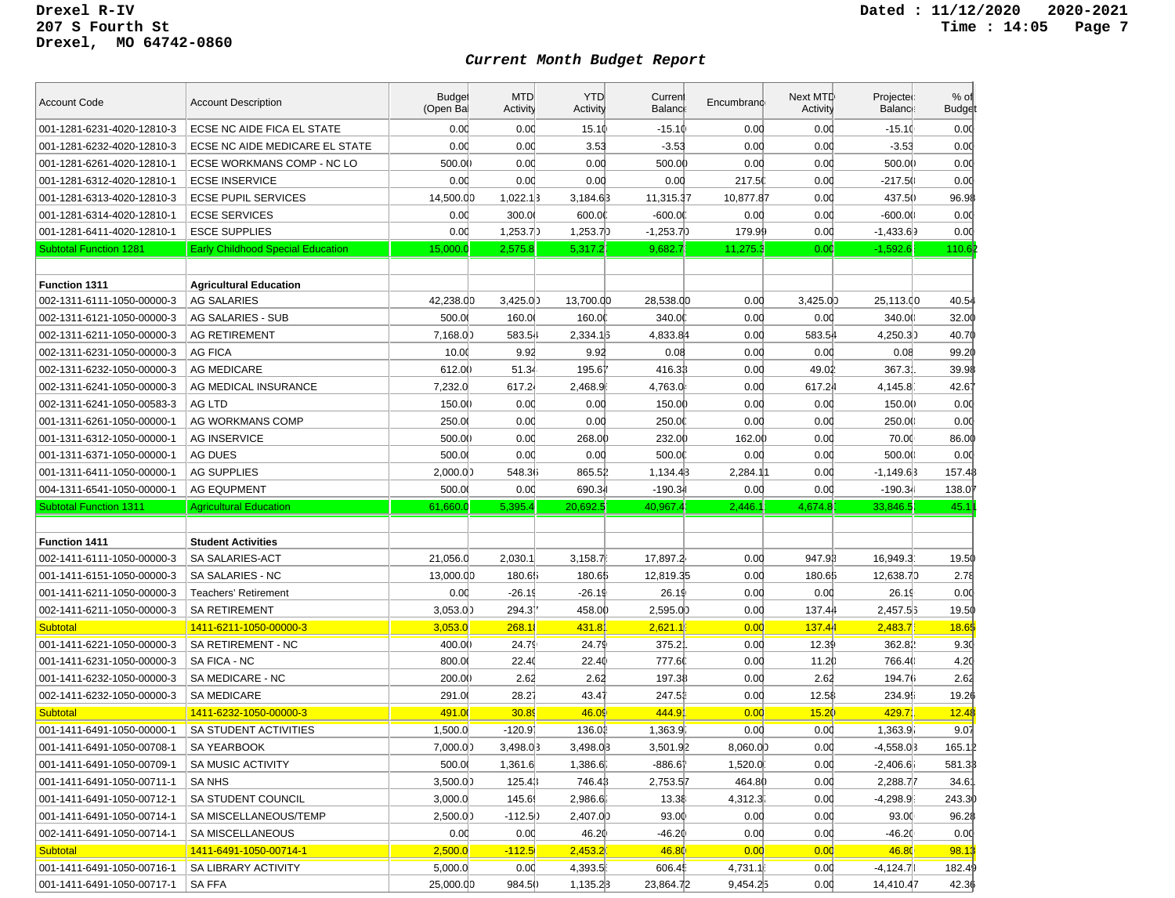| <b>Account Code</b>                                      | <b>Account Description</b>               | <b>Budget</b><br>(Open Bal | <b>MTD</b><br>Activity | <b>YTD</b><br>Activity | Current<br>Balanci | Encumbrand | Next MTD<br>Activity | Projected<br>Balance: | $%$ of<br><b>Budget</b> |
|----------------------------------------------------------|------------------------------------------|----------------------------|------------------------|------------------------|--------------------|------------|----------------------|-----------------------|-------------------------|
| 001-1281-6231-4020-12810-3                               | ECSE NC AIDE FICA EL STATE               | 0.00                       | 0.00                   | 15.10                  | $-15.10$           | 0.00       | 0.00                 | $-15.10$              | 0.00                    |
| 001-1281-6232-4020-12810-3                               | ECSE NC AIDE MEDICARE EL STATE           | 0.00                       | 0.00                   | 3.53                   | $-3.53$            | 0.00       | 0.00                 | $-3.53$               | 0.00                    |
| 001-1281-6261-4020-12810-1                               | ECSE WORKMANS COMP - NC LO               | 500.00                     | 0.00                   | 0.00                   | 500.00             | 0.00       | 0.00                 | 500.00                | 0.00                    |
| 001-1281-6312-4020-12810-1                               | <b>ECSE INSERVICE</b>                    | 0.00                       | 0.00                   | 0.00                   | 0.00               | 217.50     | 0.00                 | $-217.50$             | 0.00                    |
| 001-1281-6313-4020-12810-3                               | <b>ECSE PUPIL SERVICES</b>               | 14,500.00                  | 1,022.1                | 3,184.63               | 11,315.37          | 10,877.87  | 0.00                 | 437.50                | 96.98                   |
| 001-1281-6314-4020-12810-1                               | <b>ECSE SERVICES</b>                     | 0.00                       | 300.00                 | 600.00                 | $-600.00$          | 0.00       | 0.00                 | $-600.00$             | 0.00                    |
| 001-1281-6411-4020-12810-1                               | <b>ESCE SUPPLIES</b>                     | 0.00                       | 1,253.7                | 1,253.7)               | $-1,253.7$ )       | 179.99     | 0.00                 | $-1,433.69$           | 0.00                    |
| <b>Subtotal Function 1281</b>                            | <b>Early Childhood Special Education</b> | 15,000.0                   | 2,575.8                | 5,317.2                | 9,682.             | 11,275.    | 0.0(                 | $-1,592.6$            | 110.6                   |
|                                                          |                                          |                            |                        |                        |                    |            |                      |                       |                         |
| <b>Function 1311</b>                                     | <b>Agricultural Education</b>            |                            |                        |                        |                    |            |                      |                       |                         |
| 002-1311-6111-1050-00000-3                               | <b>AG SALARIES</b>                       | 42,238.00                  | 3,425.0)               | 13,700.00              | 28,538.00          | 0.00       | 3,425.0)             | 25,113.00             | 40.54                   |
| 002-1311-6121-1050-00000-3                               | <b>AG SALARIES - SUB</b>                 | 500.00                     | 160.0                  | 160.00                 | 340.00             | 0.00       | 0.00                 | 340.00                | 32.00                   |
| 002-1311-6211-1050-00000-3                               | <b>AG RETIREMENT</b>                     | 7,168.00                   | 583.54                 | 2,334.1                | 4,833.84           | 0.00       | 583.54               | 4,250.30              | 40.70                   |
| 002-1311-6231-1050-00000-3                               | AG FICA                                  | 10.00                      | 9.92                   | 9.92                   | 0.08               | 0.00       | 0.00                 | 0.08                  | 99.20                   |
| 002-1311-6232-1050-00000-3                               | <b>AG MEDICARE</b>                       | 612.00                     | 51.34                  | 195.61                 | 416.33             | 0.00       | 49.02                | 367.3                 | 39.98                   |
| 002-1311-6241-1050-00000-3                               | AG MEDICAL INSURANCE                     | 7,232.0                    | 617.24                 | 2,468.9                | 4,763.0            | 0.00       | 617.24               | 4,145.8               | 42.67                   |
| 002-1311-6241-1050-00583-3                               | AG LTD                                   | 150.00                     | 0.00                   | 0.00                   | 150.00             | 0.00       | 0.00                 | 150.00                | 0.00                    |
| 001-1311-6261-1050-00000-1                               | AG WORKMANS COMP                         | 250.0                      | 0.00                   | 0.00                   | 250.0              | 0.00       | 0.00                 | 250.0()               | 0.00                    |
| 001-1311-6312-1050-00000-1                               | <b>AG INSERVICE</b>                      | 500.00                     | 0.00                   | 268.00                 | 232.00             | 162.00     | 0.00                 | 70.00                 | 86.00                   |
| 001-1311-6371-1050-00000-1                               | AG DUES                                  | 500.00                     | 0.00                   | 0.00                   | 500.00             | 0.00       | 0.00                 | 500.00                | 0.00                    |
| 001-1311-6411-1050-00000-1                               | <b>AG SUPPLIES</b>                       | 2,000.00                   | 548.36                 | 865.52                 | 1,134.43           | 2,284.11   | 0.00                 | $-1,149.63$           | 157.48                  |
| 004-1311-6541-1050-00000-1                               | <b>AG EQUPMENT</b>                       | 500.00                     | 0.00                   | 690.34                 | $-190.34$          | 0.00       | 0.00                 | $-190.34$             | 138.0                   |
| <b>Subtotal Function 1311</b>                            | <b>Agricultural Education</b>            | 61,660.0                   | 5,395.4                | 20,692.5               | 40,967.            | 2,446.     | 4,674.8              | 33,846.5              | 45.1                    |
|                                                          |                                          |                            |                        |                        |                    |            |                      |                       |                         |
| <b>Function 1411</b>                                     | <b>Student Activities</b>                |                            |                        |                        |                    |            |                      |                       |                         |
| 002-1411-6111-1050-00000-3                               | SA SALARIES-ACT                          | 21,056.0                   | 2,030.1                | 3,158.7                | 17,897.2           | 0.00       | 947.93               | 16,949.3'             | 19.50                   |
| 001-1411-6151-1050-00000-3                               | SA SALARIES - NC                         | 13,000.00                  | 180.65                 | 180.65                 | 12,819.35          | 0.00       | 180.65               | 12,638.70             | 2.78                    |
| 001-1411-6211-1050-00000-3                               | <b>Teachers' Retirement</b>              | 0.00                       | $-26.19$               | $-26.19$               | 26.19              | 0.00       | 0.00                 | 26.19                 | 0.00                    |
| 002-1411-6211-1050-00000-3                               | <b>SA RETIREMENT</b>                     | 3,053.00                   | 294.31                 |                        |                    | 0.00       |                      |                       | 19.50                   |
| <b>Subtotal</b>                                          | 1411-6211-1050-00000-3                   |                            |                        | 458.00                 | 2,595.00           |            | 137.44               | 2,457.5               |                         |
| 001-1411-6221-1050-00000-3                               |                                          | 3,053.0                    | 268.18                 | 431.8'                 | 2,621.1            | 0.00       | 137.44               | 2,483.7               | 18.65                   |
|                                                          | SA RETIREMENT - NC                       | 400.00                     | 24.79                  | 24.79                  | 375.2              | 0.00       | 12.39                | 362.81                | 9.3 <sub>0</sub>        |
| 001-1411-6231-1050-00000-3                               | SA FICA - NC                             | 800.00                     | 22.40                  | 22.40                  | 777.6              | 0.00       | 11.20                | 766.40                | 4.20                    |
| 001-1411-6232-1050-00000-3                               | SA MEDICARE - NC                         | 200.00                     | 2.62                   | 2.62                   | 197.38             | 0.00       | 2.62                 | 194.76                | 2.62                    |
| 002-1411-6232-1050-00000-3                               | <b>SA MEDICARE</b>                       | 291.0                      | 28.27                  | 43.47                  | 247.51             | 0.00       | 12.58                | 234.95                | 19.26                   |
| <b>Subtotal</b>                                          | 1411-6232-1050-00000-3                   | 491.00                     | 30.89                  | 46.09                  | 444.9              | 0.00       | 15.20                | 429.7                 | 12.48                   |
| 001-1411-6491-1050-00000-1                               | SA STUDENT ACTIVITIES                    | 1,500.0                    | $-120.91$              | 136.01                 | 1,363.9            | 0.00       | 0.00                 | 1,363.9               | 9.07                    |
| 001-1411-6491-1050-00708-1                               | SA YEARBOOK                              | 7.000.00                   | 3,498.03               | 3,498.03               | 3,501.92           | 8,060.00   | 0.00                 | $-4.558.03$           | 165.12                  |
| 001-1411-6491-1050-00709-1                               | <b>SA MUSIC ACTIVITY</b>                 | 500.00                     | 1,361.6                | 1,386.6                | $-886.61$          | 1,520.0    | 0.00                 | $-2,406.6i$           | 581.38                  |
|                                                          | SA NHS                                   | 3,500.00                   | 125.43                 | 746.43                 |                    | 464.80     | 0.00                 | 2,288.77              |                         |
| 001-1411-6491-1050-00711-1<br>001-1411-6491-1050-00712-1 | SA STUDENT COUNCIL                       | 3,000.0                    | 145.6                  | 2,986.6                | 2,753.57<br>13.38  | 4,312.3    | 0.00                 | $-4,298.9$            | 34.61<br>243.30         |
| 001-1411-6491-1050-00714-1                               | SA MISCELLANEOUS/TEMP                    | 2,500.00                   | $-112.5)$              | 2,407.00               | 93.00              | 0.00       | 0.00                 | 93.00                 | 96.28                   |
| 002-1411-6491-1050-00714-1                               | SA MISCELLANEOUS                         | 0.00                       | 0.00                   | 46.20                  | -46.20             | 0.00       | 0.00                 | $-46.20$              | 0.00                    |
| <b>Subtotal</b>                                          | 1411-6491-1050-00714-1                   | 2,500.0                    | $-112.5$               | 2,453.2                | 46.80              | 0.00       | 0.00                 | 46.80                 | 98.13                   |
| 001-1411-6491-1050-00716-1                               | SA LIBRARY ACTIVITY                      | 5,000.0                    | 0.00                   | 4,393.5                | 606.4              | 4,731.1    | 0.00                 | $-4,124.7$            | 182.49                  |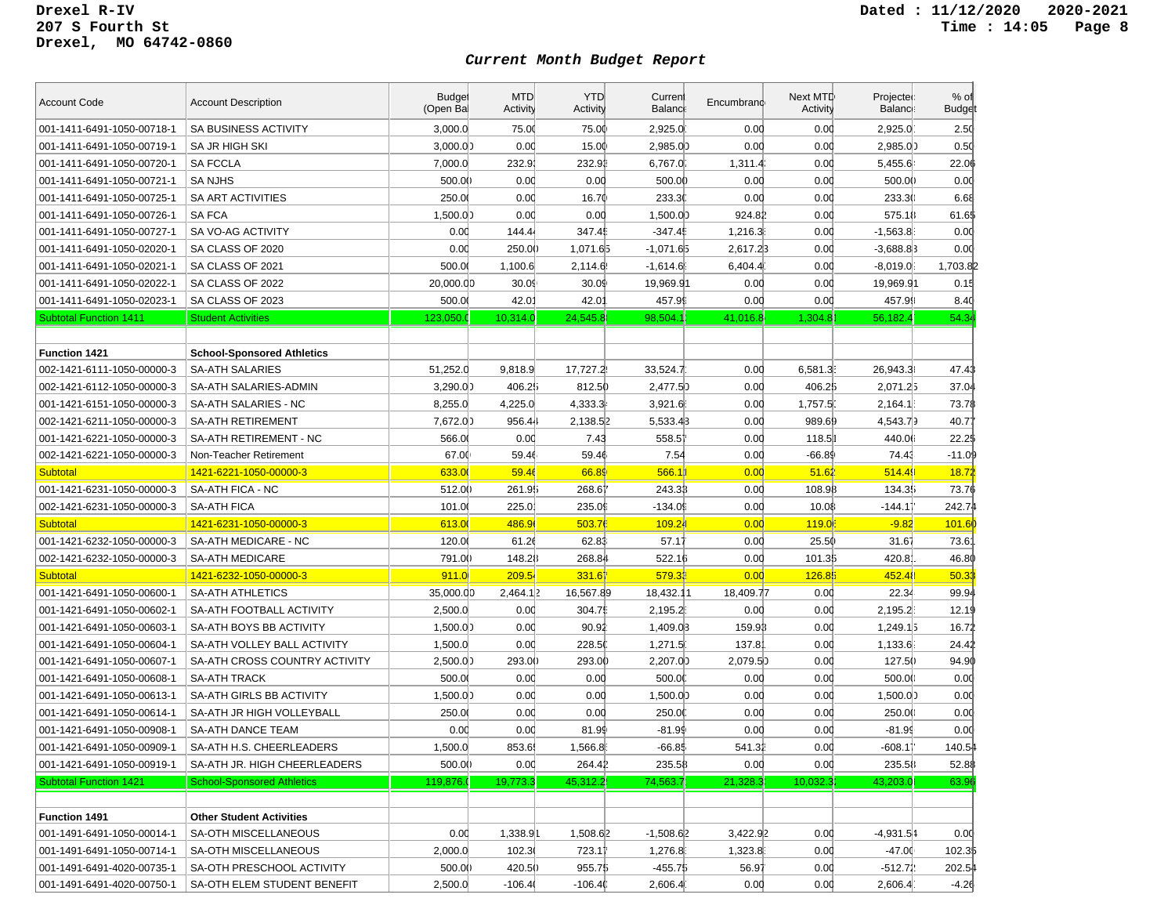| <b>Account Code</b>           | <b>Account Description</b>        | <b>Budget</b><br>(Open Bal | <b>MTD</b><br>Activity | <b>YTD</b><br>Activity | Current<br><b>Balance</b> | Encumbrand | Next MTD<br>Activity | Projected<br><b>Balance</b> | $%$ of<br><b>Budget</b> |
|-------------------------------|-----------------------------------|----------------------------|------------------------|------------------------|---------------------------|------------|----------------------|-----------------------------|-------------------------|
| 001-1411-6491-1050-00718-1    | SA BUSINESS ACTIVITY              | 3,000.0                    | 75.00                  | 75.00                  | 2,925.0                   | 0.00       | 0.00                 | 2,925.0                     | 2.50                    |
| 001-1411-6491-1050-00719-1    | <b>SA JR HIGH SKI</b>             | 3,000.00                   | 0.00                   | 15.00                  | 2,985.00                  | 0.00       | 0.00                 | 2,985.00                    | 0.50                    |
| 001-1411-6491-1050-00720-1    | <b>SA FCCLA</b>                   | 7,000.0                    | 232.9                  | 232.91                 | 6,767.0                   | 1,311.4    | 0.00                 | 5,455.6                     | 22.06                   |
| 001-1411-6491-1050-00721-1    | <b>SANJHS</b>                     | 500.00                     | 0.00                   | 0.00                   | 500.00                    | 0.00       | 0.00                 | 500.00                      | 0.00                    |
| 001-1411-6491-1050-00725-1    | SA ART ACTIVITIES                 | 250.00                     | 0.00                   | 16.70                  | 233.30                    | 0.00       | 0.00                 | 233.30                      | 6.68                    |
| 001-1411-6491-1050-00726-1    | <b>SA FCA</b>                     | 1,500.00                   | 0.00                   | 0.00                   | 1,500.00                  | 924.82     | 0.00                 | 575.18                      | 61.65                   |
| 001-1411-6491-1050-00727-1    | SA VO-AG ACTIVITY                 | 0.00                       | 144.44                 | 347.45                 | $-347.49$                 | 1,216.3    | 0.00                 | $-1,563.8$                  | 0.00                    |
| 001-1411-6491-1050-02020-1    | SA CLASS OF 2020                  | 0.00                       | 250.00                 | 1,071.65               | $-1,071.65$               | 2,617.23   | 0.00                 | $-3,688.83$                 | 0.00                    |
| 001-1411-6491-1050-02021-1    | SA CLASS OF 2021                  | 500.00                     | 1,100.6                | 2,114.6                | $-1,614.6$                | 6,404.4    | 0.00                 | $-8,019.0$                  | 1,703.82                |
| 001-1411-6491-1050-02022-1    | SA CLASS OF 2022                  | 20,000.00                  | 30.09                  | 30.09                  | 19,969.91                 | 0.00       | 0.00                 | 19,969.91                   | 0.15                    |
| 001-1411-6491-1050-02023-1    | SA CLASS OF 2023                  | 500.00                     | $42.0^{\circ}$         | 42.01                  | 457.99                    | 0.00       | 0.00                 | 457.99                      | 8.40                    |
| <b>Subtotal Function 1411</b> | <b>Student Activities</b>         | 123,050.0                  | 10,314.0               | 24,545.8               | 98,504.1                  | 41,016.8   | 1,304.8              | 56,182.4                    | 54.34                   |
|                               |                                   |                            |                        |                        |                           |            |                      |                             |                         |
| <b>Function 1421</b>          | <b>School-Sponsored Athletics</b> |                            |                        |                        |                           |            |                      |                             |                         |
| 002-1421-6111-1050-00000-3    | <b>SA-ATH SALARIES</b>            | 51,252.0                   | 9,818.9                | 17,727.2               | 33,524.7                  | 0.00       | 6,581.3              | 26,943.3                    | 47.43                   |
| 002-1421-6112-1050-00000-3    | SA-ATH SALARIES-ADMIN             | 3,290.00                   | 406.25                 | 812.50                 | 2,477.5)                  | 0.00       | 406.25               | 2,071.25                    | 37.04                   |
| 001-1421-6151-1050-00000-3    | SA-ATH SALARIES - NC              | 8.255.0                    | 4,225.0                | 4,333.3                | 3,921.6                   | 0.00       | 1,757.5              | 2.164.1                     | 73.78                   |
| 002-1421-6211-1050-00000-3    | <b>SA-ATH RETIREMENT</b>          | 7,672.00                   | 956.44                 | 2,138.52               | 5,533.43                  | 0.00       | 989.69               | 4,543.79                    | 40.77                   |
| 001-1421-6221-1050-00000-3    | SA-ATH RETIREMENT - NC            | 566.00                     | 0.00                   | 7.43                   | 558.51                    | 0.00       | 118.5                | 440.06                      | 22.2\$                  |
| 002-1421-6221-1050-00000-3    | Non-Teacher Retirement            | 67.00                      | 59.46                  | 59.46                  | 7.54                      | 0.00       | -66.89               | 74.43                       | $-11.09$                |
| <b>Subtotal</b>               | 1421-6221-1050-00000-3            | 633.00                     | 59.46                  | 66.89                  | 566.1                     | 0.00       | 51.62                | 514.49                      | <u>18.72</u>            |
| 001-1421-6231-1050-00000-3    | SA-ATH FICA - NC                  | 512.00                     | 261.95                 | 268.61                 | 243.33                    | 0.00       | 108.98               | 134.35                      | 73.76                   |
| 002-1421-6231-1050-00000-3    | <b>SA-ATH FICA</b>                | 101.0                      | 225.0                  | 235.09                 | $-134.09$                 | 0.00       | 10.08                | $-144.11$                   | 242.74                  |
| <b>Subtotal</b>               | 1421-6231-1050-00000-3            | 613.00                     | 486.9                  | 503.76                 | 109.24                    | 0.00       | <b>119.0</b>         | $-9.82$                     | 101.6                   |
| 001-1421-6232-1050-00000-3    | SA-ATH MEDICARE - NC              | 120.00                     | 61.26                  | 62.83                  | 57.17                     | 0.00       | 25.50                | 31.67                       | 73.6'                   |
| 002-1421-6232-1050-00000-3    | <b>SA-ATH MEDICARE</b>            | 791.00                     | 148.28                 | 268.84                 | 522.16                    | 0.00       | 101.35               | 420.8                       | 46.80                   |
| <b>Subtotal</b>               | 1421-6232-1050-00000-3            | 911.0                      | 209.5                  | 331.67                 | 579.33                    | 0.00       | 126.85               | 452.48                      | 50.33                   |
| 001-1421-6491-1050-00600-1    | <b>SA-ATH ATHLETICS</b>           | 35,000.00                  | 2,464.12               | 16,567.89              | 18,432.11                 | 18,409.77  | 0.00                 | 22.34                       | 99.94                   |
| 001-1421-6491-1050-00602-1    | SA-ATH FOOTBALL ACTIVITY          | 2,500.0                    | 0.00                   | 304.75                 | 2,195.2                   | 0.00       | 0.00                 | 2,195.2                     | 12.19                   |
| 001-1421-6491-1050-00603-1    | SA-ATH BOYS BB ACTIVITY           | 1,500.00                   | 0.00                   | 90.92                  | 1,409.03                  | 159.93     | 0.00                 | 1,249.15                    | 16.72                   |
| 001-1421-6491-1050-00604-1    | SA-ATH VOLLEY BALL ACTIVITY       | 1,500.0                    | 0.00                   | 228.50                 | 1,271.5                   | 137.8      | 0.00                 | 1,133.6                     | 24.42                   |
| 001-1421-6491-1050-00607-1    | SA-ATH CROSS COUNTRY ACTIVITY     | 2,500.0                    | 293.00                 | 293.00                 | 2,207.00                  | 2,079.5    | 0.00                 | 127.5()                     | 94.90                   |
| 001-1421-6491-1050-00608-1    | <b>SA-ATH TRACK</b>               | 500.00                     | 0.00                   | 0.00                   | 500.00                    | 0.00       | 0.00                 | 500.00                      | 0.00                    |
| 001-1421-6491-1050-00613-1    | SA-ATH GIRLS BB ACTIVITY          | 1,500.00                   | 0.00                   | 0.00                   | 1,500.00                  | 0.00       | 0.00                 | 1,500.00                    | 0.00                    |
| 001-1421-6491-1050-00614-1    | SA-ATH JR HIGH VOLLEYBALL         | 250.0                      | 0.00                   | 0.00                   | 250.0                     | 0.00       | 0.00                 | 250.00                      | 0.00                    |
| 001-1421-6491-1050-00908-1    | <b>SA-ATH DANCE TEAM</b>          | 0.00                       | 0.00                   | 81.99                  | $-81.99$                  | 0.00       | 0.00                 | $-81.99$                    | 0.00                    |
| 001-1421-6491-1050-00909-1    | SA-ATH H.S. CHEERLEADERS          | 1,500.0                    | 853.6                  | 1,566.8                | $-66.85$                  | 541.32     | 0.00                 | $-608.11$                   | 140.54                  |
| 001-1421-6491-1050-00919-1    | SA-ATH JR. HIGH CHEERLEADERS      | 500.00                     | 0.00                   | 264.41                 | 235.58                    | 0.00       | 0.00                 | 235.58                      | 52.88                   |
| <b>Subtotal Function 1421</b> | <b>School-Sponsored Athletics</b> | 119,876.                   | 19,773.3               | 45,312.2               | 74,563.7                  | 21,328.3   | 10,032.3             | 43,203.0                    | 63.96                   |
|                               |                                   |                            |                        |                        |                           |            |                      |                             |                         |
| <b>Function 1491</b>          | <b>Other Student Activities</b>   |                            |                        |                        |                           |            |                      |                             |                         |
| 001-1491-6491-1050-00014-1    | SA-OTH MISCELLANEOUS              | 0.00                       | 1,338.91               | 1,508.62               | $-1,508.62$               | 3,422.92   | 0.00                 | $-4,931.54$                 | 0.00                    |
| 001-1491-6491-1050-00714-1    | SA-OTH MISCELLANEOUS              | 2,000.0                    | 102.3(                 | 723.17                 | 1,276.8                   | 1,323.8    | 0.00                 | $-47.00$                    | 102.35                  |
| 001-1491-6491-4020-00735-1    | SA-OTH PRESCHOOL ACTIVITY         | 500.00                     | 420.50                 | 955.75                 | -455.7\$                  | 56.97      | 0.00                 | $-512.72$                   | 202.54                  |
| 001-1491-6491-4020-00750-1    | SA-OTH ELEM STUDENT BENEFIT       | 2,500.0                    | $-106.4($              | $-106.4()$             | 2,606.4                   | 0.00       | 0.00                 | 2,606.4                     | $-4.26$                 |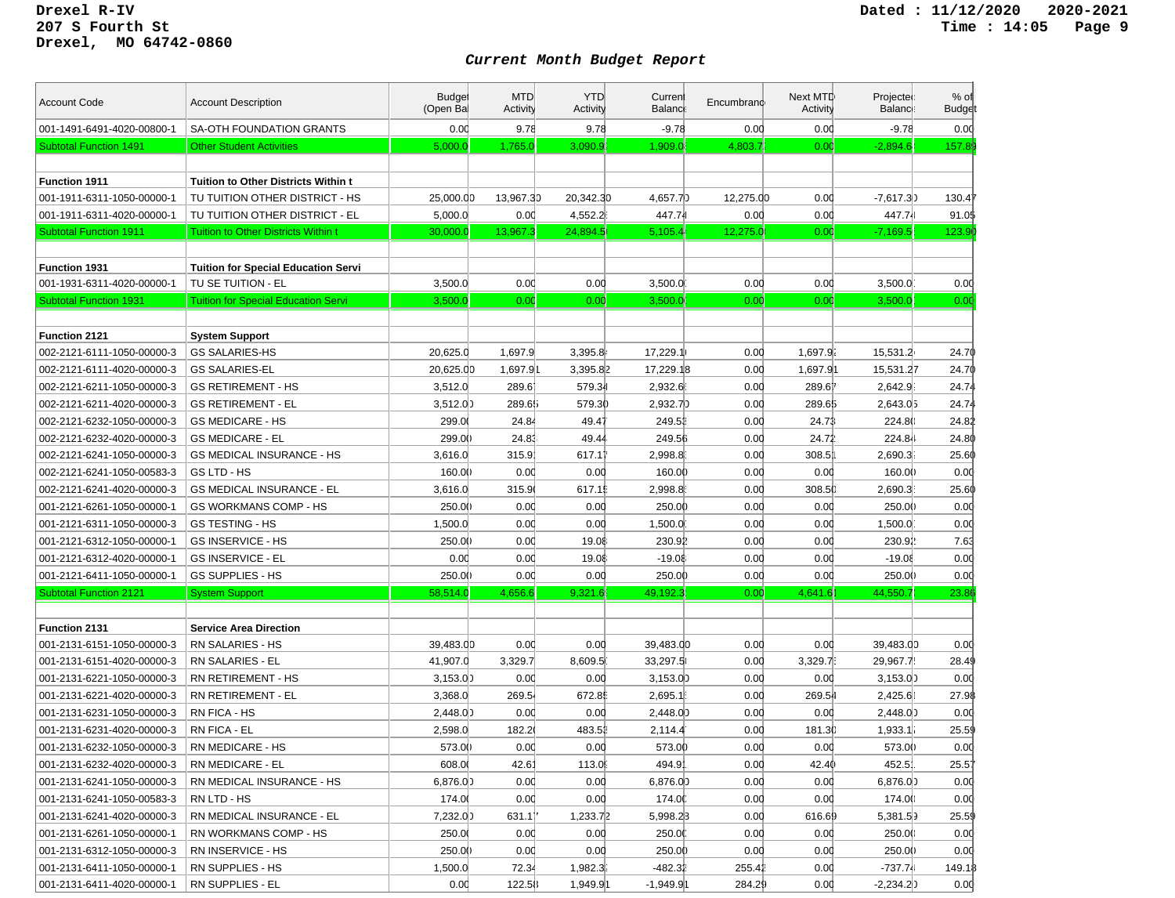| <b>Account Code</b>           | <b>Account Description</b>                 | <b>Budget</b><br>(Open Ba | <b>MTD</b><br>Activity | <b>YTD</b><br>Activity | Curren<br>Balanci | Encumbrand | Next MTD<br>Activity | Projected<br><b>Balance</b> | $%$ of<br><b>Budget</b> |
|-------------------------------|--------------------------------------------|---------------------------|------------------------|------------------------|-------------------|------------|----------------------|-----------------------------|-------------------------|
| 001-1491-6491-4020-00800-1    | <b>SA-OTH FOUNDATION GRANTS</b>            | 0.00                      | 9.78                   | 9.78                   | $-9.78$           | 0.00       | 0.00                 | $-9.78$                     | 0.00                    |
| <b>Subtotal Function 1491</b> | <b>Other Student Activities</b>            | 5,000.0                   | 1,765.0                | 3,090.9                | 1,909.0           | 4,803.7    | 0.00                 | $-2,894.6$                  | 157.8                   |
|                               |                                            |                           |                        |                        |                   |            |                      |                             |                         |
| <b>Function 1911</b>          | <b>Tuition to Other Districts Within t</b> |                           |                        |                        |                   |            |                      |                             |                         |
| 001-1911-6311-1050-00000-1    | TU TUITION OTHER DISTRICT - HS             | 25,000.00                 | 13,967.30              | 20,342.30              | 4,657.7)          | 12,275.00  | 0.00                 | $-7,617.3]$                 | 130.4                   |
| 001-1911-6311-4020-00000-1    | TU TUITION OTHER DISTRICT - EL             | 5,000.0                   | 0.00                   | 4,552.2                | 447.74            | 0.00       | 0.00                 | 447.74                      | 91.0\$                  |
| <b>Subtotal Function 1911</b> | <b>Tuition to Other Districts Within t</b> | 30,000.0                  | 13,967.3               | 24,894.5               | 5,105.4           | 12,275.0   | 0.00                 | $-7,169.5$                  | 123.9                   |
|                               |                                            |                           |                        |                        |                   |            |                      |                             |                         |
| <b>Function 1931</b>          | <b>Tuition for Special Education Servi</b> |                           |                        |                        |                   |            |                      |                             |                         |
| 001-1931-6311-4020-00000-1    | TU SE TUITION - EL                         | 3,500.0                   | 0.00                   | 0.00                   | 3,500.0           | 0.00       | 0.00                 | 3,500.0                     | 0.00                    |
| <b>Subtotal Function 1931</b> | <b>Tuition for Special Education Servi</b> | 3,500.0                   | 0.00                   | 0.00                   | 3,500.0           | 0.00       | 0.00                 | 3,500.0                     | 0.00                    |
|                               |                                            |                           |                        |                        |                   |            |                      |                             |                         |
| <b>Function 2121</b>          | <b>System Support</b>                      |                           |                        |                        |                   |            |                      |                             |                         |
| 002-2121-6111-1050-00000-3    | <b>GS SALARIES-HS</b>                      | 20,625.0                  | 1,697.9                | 3,395.8                | 17,229.1          | 0.00       | 1,697.9.             | 15,531.2                    | 24.70                   |
| 002-2121-6111-4020-00000-3    | <b>GS SALARIES-EL</b>                      | 20,625.00                 | 1,697.91               | 3,395.82               | 17,229.18         | 0.00       | 1,697.91             | 15,531.27                   | 24.70                   |
| 002-2121-6211-1050-00000-3    | <b>GS RETIREMENT - HS</b>                  | 3,512.0                   | 289.61                 | 579.34                 | 2,932.6           | 0.00       | 289.61               | 2,642.9                     | 24.74                   |
| 002-2121-6211-4020-00000-3    | <b>GS RETIREMENT - EL</b>                  | 3,512.0)                  | 289.65                 | 579.30                 | 2.932.7)          | 0.00       | 289.65               | 2,643.05                    | 24.74                   |
| 002-2121-6232-1050-00000-3    | <b>GS MEDICARE - HS</b>                    | 299.00                    | 24.84                  | 49.47                  | 249.51            | 0.00       | 24.73                | 224.80                      | 24.82                   |
| 002-2121-6232-4020-00000-3    | <b>GS MEDICARE - EL</b>                    | 299.00                    | 24.83                  | 49.44                  | 249.56            | 0.00       | 24.72                | 224.84                      | 24.80                   |
| 002-2121-6241-1050-00000-3    | <b>GS MEDICAL INSURANCE - HS</b>           | 3,616.0                   | 315.9                  | 617.11                 | 2,998.8           | 0.00       | 308.5                | 2,690.3.                    | 25.60                   |
| 002-2121-6241-1050-00583-3    | GS LTD - HS                                | 160.00                    | 0.00                   | 0.00                   | 160.00            | 0.00       | 0.00                 | 160.00                      | 0.00                    |
| 002-2121-6241-4020-00000-3    | <b>GS MEDICAL INSURANCE - EL</b>           | 3,616.0                   | 315.9                  | 617.15                 | 2,998.8           | 0.00       | 308.5                | 2,690.3                     | 25.60                   |
| 001-2121-6261-1050-00000-1    | <b>GS WORKMANS COMP - HS</b>               | 250.00                    | 0.00                   | 0.00                   | 250.00            | 0.00       | 0.00                 | 250.00                      | 0.00                    |
| 001-2121-6311-1050-00000-3    | <b>GS TESTING - HS</b>                     | 1,500.0                   | 0.00                   | 0.00                   | 1,500.0           | 0.00       | 0.00                 | 1,500.0                     | 0.00                    |
| 001-2121-6312-1050-00000-1    | <b>GS INSERVICE - HS</b>                   | 250.00                    | 0.00                   | 19.08                  | 230.92            | 0.00       | 0.00                 | 230.92                      | 7.63                    |
| 001-2121-6312-4020-00000-1    | <b>GS INSERVICE - EL</b>                   | 0.00                      | 0.00                   | 19.08                  | $-19.08$          | 0.00       | 0.00                 | $-19.08$                    | 0.00                    |
| 001-2121-6411-1050-00000-1    | <b>GS SUPPLIES - HS</b>                    | 250.00                    | 0.00                   | 0.00                   | 250.00            | 0.00       | 0.00                 | 250.00                      | 0.00                    |
| <b>Subtotal Function 2121</b> | <b>System Support</b>                      | 58,514.0                  | 4,656.6                | 9,321.6                | 49,192.3          | 0.00       | 4,641.6              | 44,550.7                    | 23.86                   |
|                               |                                            |                           |                        |                        |                   |            |                      |                             |                         |
| Function 2131                 | <b>Service Area Direction</b>              |                           |                        |                        |                   |            |                      |                             |                         |
| 001-2131-6151-1050-00000-3    | <b>RN SALARIES - HS</b>                    | 39,483.00                 | 0.00                   | 0.00                   | 39,483.00         | 0.00       | 0.00                 | 39,483.00                   | 0.00                    |
| 001-2131-6151-4020-00000-3    | RN SALARIES - EL                           | 41,907.0                  | 3,329.7                | 8,609.5                | 33,297.5          | 0.00       | 3,329.7              | 29,967.7                    | 28.49                   |
| 001-2131-6221-1050-00000-3    | <b>RN RETIREMENT - HS</b>                  | 3,153.0                   | 0.00                   | 0.00                   | 3,153.0           | 0.00       | 0.00                 | 3,153.0                     | 0.00                    |
| 001-2131-6221-4020-00000-3    | RN RETIREMENT - EL                         | 3,368.0                   | 269.54                 | 672.85                 | 2,695.1           | 0.00       | 269.54               | 2,425.61                    | 27.98                   |
| 001-2131-6231-1050-00000-3    | RN FICA - HS                               | 2,448.00                  | 0.00                   | 0.00                   | 2,448.0           | 0.00       | 0.00                 | 2,448.00                    | 0.00                    |
| 001-2131-6231-4020-00000-3    | RN FICA - EL                               | 2,598.0                   | 182.2                  | 483.51                 | 2,114.4           | 0.00       | 181.30               | 1,933.1 i                   | 25.5                    |
| 001-2131-6232-1050-00000-3    | RN MEDICARE - HS                           | 573.00                    | 0.00                   | 0.00                   | 573.00            | 0.00       | 0.00                 | 573.00                      | 0.00                    |
| 001-2131-6232-4020-00000-3    | <b>RN MEDICARE - EL</b>                    | 608.00                    | 42.61                  | 113.0                  | 494.9             | 0.00       | 42.40                | 452.5                       | 25.57                   |
| 001-2131-6241-1050-00000-3    | RN MEDICAL INSURANCE - HS                  | 6,876.00                  | 0.00                   | 0.00                   | 6,876.0)          | 0.00       | 0.00                 | 6,876.00                    | 0.00                    |
| 001-2131-6241-1050-00583-3    | RN LTD - HS                                | 174.00                    | 0.00                   | 0.00                   | 174.00            | 0.00       | 0.00                 | 174.00                      | 0.00                    |
| 001-2131-6241-4020-00000-3    | RN MEDICAL INSURANCE - EL                  | 7,232.00                  | 631.11                 | 1,233.72               | 5,998.23          | 0.00       | 616.69               | 5,381.59                    | 25.59                   |
| 001-2131-6261-1050-00000-1    | RN WORKMANS COMP - HS                      | 250.0                     | 0.00                   | 0.00                   | 250.00            | 0.00       | 0.00                 | 250.00                      | 0.00                    |
| 001-2131-6312-1050-00000-3    | RN INSERVICE - HS                          | 250.00                    | 0.00                   | 0.00                   | 250.00            | 0.00       | 0.00                 | 250.00                      | 0.00                    |
| 001-2131-6411-1050-00000-1    | RN SUPPLIES - HS                           | 1,500.0                   | 72.34                  | 1,982.3                | -482.31           | 255.42     | 0.00                 | $-737.74$                   | 149.1₿                  |
| 001-2131-6411-4020-00000-1    | RN SUPPLIES - EL                           | 0.00                      | 122.58                 | 1,949.91               | $-1,949.91$       | 284.29     | 0.00                 | $-2,234.2]$                 | 0.00                    |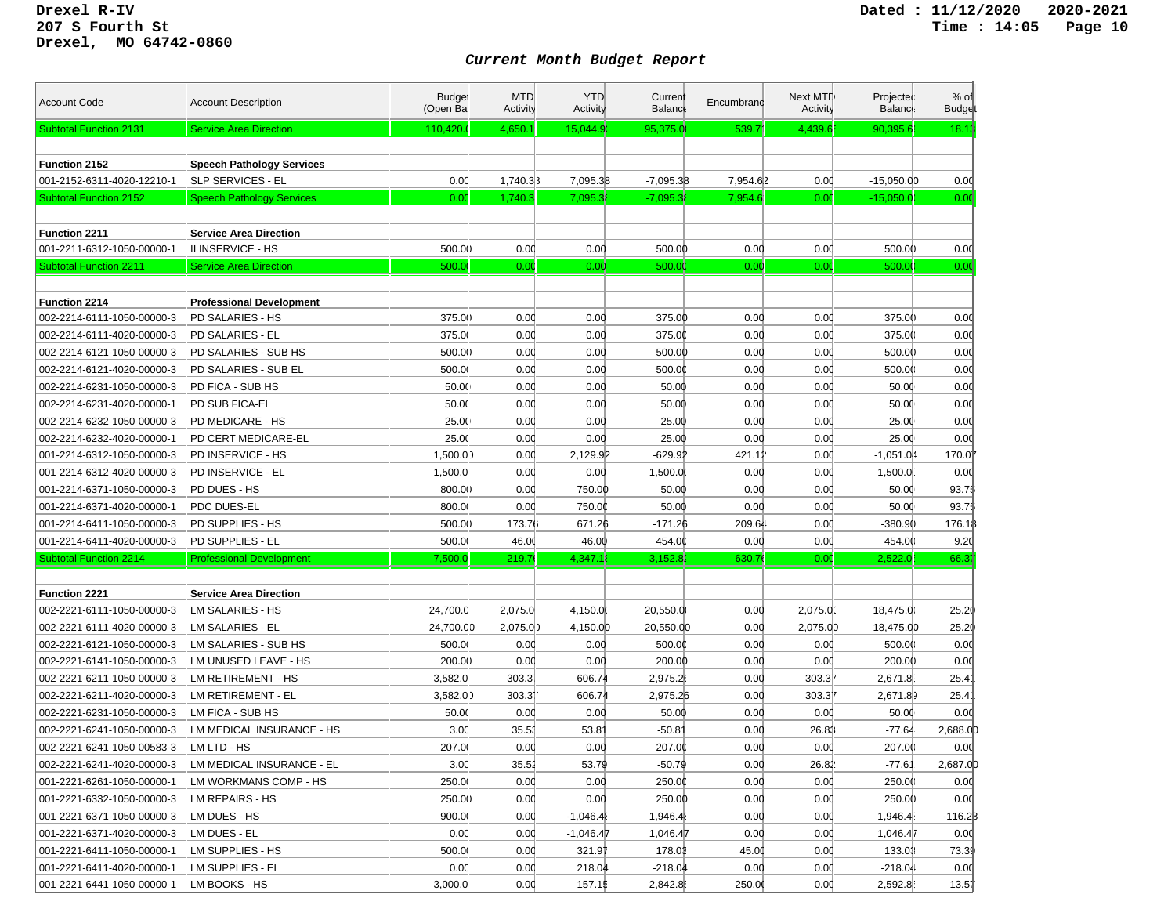| <b>Account Code</b>           | <b>Account Description</b>       | <b>Budget</b><br>(Open Bal | <b>MTD</b><br>Activity | <b>YTD</b><br>Activity | Curren<br>Balanc | Encumbrand | Next MTD<br>Activity | Projected<br><b>Balance</b> | $%$ of<br><b>Budget</b> |
|-------------------------------|----------------------------------|----------------------------|------------------------|------------------------|------------------|------------|----------------------|-----------------------------|-------------------------|
| <b>Subtotal Function 2131</b> | <b>Service Area Direction</b>    | 110,420.                   | 4,650.1                | 15,044.9               | 95,375.0         | 539.7      | 4,439.6              | 90.395.6                    | 18.13                   |
|                               |                                  |                            |                        |                        |                  |            |                      |                             |                         |
| Function 2152                 | <b>Speech Pathology Services</b> |                            |                        |                        |                  |            |                      |                             |                         |
| 001-2152-6311-4020-12210-1    | <b>SLP SERVICES - EL</b>         | 0.00                       | 1,740.33               | 7,095.33               | $-7,095.33$      | 7,954.62   | 0.00                 | $-15,050.00$                | 0.00                    |
| <b>Subtotal Function 2152</b> | <b>Speech Pathology Services</b> | 0.00                       | 1,740.3                | 7,095.3                | $-7,095.3$       | 7,954.6    | 0.00                 | $-15,050.0$                 | 0.00                    |
|                               |                                  |                            |                        |                        |                  |            |                      |                             |                         |
| Function 2211                 | <b>Service Area Direction</b>    |                            |                        |                        |                  |            |                      |                             |                         |
| 001-2211-6312-1050-00000-1    | II INSERVICE - HS                | 500.00                     | 0.00                   | 0.00                   | 500.00           | 0.00       | 0.00                 | 500.0()                     | 0.00                    |
| <b>Subtotal Function 2211</b> | <b>Service Area Direction</b>    | 500.0                      | 0.00                   | 0.00                   | 500.0            | 0.00       | 0.00                 | 500.00                      | 0.00                    |
|                               |                                  |                            |                        |                        |                  |            |                      |                             |                         |
| <b>Function 2214</b>          | <b>Professional Development</b>  |                            |                        |                        |                  |            |                      |                             |                         |
| 002-2214-6111-1050-00000-3    | PD SALARIES - HS                 | 375.00                     | 0.00                   | 0.00                   | 375.00           | 0.00       | 0.00                 | 375.00                      | 0.00                    |
| 002-2214-6111-4020-00000-3    | PD SALARIES - EL                 | 375.0                      | 0.00                   | 0.00                   | 375.00           | 0.00       | 0.00                 | 375.00                      | 0.00                    |
| 002-2214-6121-1050-00000-3    | PD SALARIES - SUB HS             | 500.00                     | 0.00                   | 0.00                   | 500.00           | 0.00       | 0.00                 | 500.00                      | 0.00                    |
| 002-2214-6121-4020-00000-3    | PD SALARIES - SUB EL             | 500.00                     | 0.00                   | 0.00                   | 500.00           | 0.00       | 0.00                 | 500.00                      | 0.00                    |
| 002-2214-6231-1050-00000-3    | PD FICA - SUB HS                 | 50.00                      | 0.00                   | 0.00                   | 50.00            | 0.00       | 0.00                 | 50.00                       | 0.00                    |
| 002-2214-6231-4020-00000-1    | PD SUB FICA-EL                   | 50.00                      | 0.00                   | 0.00                   | 50.00            | 0.00       | 0.00                 | 50.00                       | 0.00                    |
| 002-2214-6232-1050-00000-3    | PD MEDICARE - HS                 | 25.00                      | 0.00                   | 0.00                   | 25.00            | 0.00       | 0.00                 | 25.00                       | 0.00                    |
| 002-2214-6232-4020-00000-1    | PD CERT MEDICARE-EL              | 25.00                      | 0.00                   | 0.00                   | 25.00            | 0.00       | 0.00                 | 25.00                       | 0.00                    |
| 001-2214-6312-1050-00000-3    | PD INSERVICE - HS                | 1,500.00                   | 0.00                   | 2,129.92               | $-629.91$        | 421.12     | 0.00                 | $-1,051.04$                 | 170.0                   |
| 001-2214-6312-4020-00000-3    | PD INSERVICE - EL                | 1,500.0                    | 0.00                   | 0.00                   | 1,500.0          | 0.00       | 0.00                 | 1,500.0                     | 0.00                    |
| 001-2214-6371-1050-00000-3    | PD DUES - HS                     | 800.00                     | 0.00                   | 750.00                 | 50.00            | 0.00       | 0.00                 | 50.00                       | 93.75                   |
| 001-2214-6371-4020-00000-1    | PDC DUES-EL                      | 800.00                     | 0.00                   | 750.00                 | 50.00            | 0.00       | 0.00                 | 50.00                       | 93.75                   |
| 001-2214-6411-1050-00000-3    | PD SUPPLIES - HS                 | 500.00                     | 173.76                 | 671.26                 | -171.26          | 209.64     | 0.00                 | -380.9()                    | 176.1                   |
| 001-2214-6411-4020-00000-3    | PD SUPPLIES - EL                 | 500.0                      | 46.00                  | 46.00                  | 454.00           | 0.00       | 0.00                 | 454.00                      | 9.20                    |
| <b>Subtotal Function 2214</b> | <b>Professional Development</b>  | 7,500.0                    | 219.7                  | 4,347.1                | 3,152.8          | 630.7      | 0.00                 | 2,522.0                     | 66.37                   |
|                               |                                  |                            |                        |                        |                  |            |                      |                             |                         |
| <b>Function 2221</b>          | <b>Service Area Direction</b>    |                            |                        |                        |                  |            |                      |                             |                         |
| 002-2221-6111-1050-00000-3    | LM SALARIES - HS                 | 24,700.0                   | 2,075.0                | 4,150.0                | 20,550.0         | 0.00       | 2,075.0              | 18,475.0                    | 25.20                   |
| 002-2221-6111-4020-00000-3    | LM SALARIES - EL                 | 24,700.00                  | 2,075.0)               | 4,150.00               | 20,550.00        | 0.00       | 2,075.00             | 18,475.00                   | 25.20                   |
| 002-2221-6121-1050-00000-3    | LM SALARIES - SUB HS             | 500.00                     | 0.00                   | 0.00                   | 500.00           | 0.00       | 0.00                 | 500.00                      | 0.00                    |
| 002-2221-6141-1050-00000-3    | LM UNUSED LEAVE - HS             | 200.00                     | 0.00                   | 0.00                   | 200.00           | 0.00       | 0.00                 | 200.00                      | 0.00                    |
| 002-2221-6211-1050-00000-3    | <b>LM RETIREMENT - HS</b>        | 3,582.0                    | 303.3                  | 606.74                 | 2,975.2          | 0.00       | 303.31               | 2,671.8                     | 25.4'                   |
| 002-2221-6211-4020-00000-3    | LM RETIREMENT - EL               | 3,582.00                   | 303.31                 | 606.74                 | 2,975.23         | 0.00       | 303.31               | 2,671.89                    | 25.4'                   |
| 002-2221-6231-1050-00000-3    | LM FICA - SUB HS                 | 50.00                      | 0.00                   | 0.00                   | 50.00            | 0.00       | 0.00                 | 50.00                       | 0.00                    |
| 002-2221-6241-1050-00000-3    | LM MEDICAL INSURANCE - HS        | 3.00                       | 35.53                  | 53.81                  | $-50.8'$         | 0.00       | 26.81                | $-77.64$                    | 2,688.00                |
| 002-2221-6241-1050-00583-3    | LM LTD - HS                      | 207.0                      | 0.00                   | 0.00                   | 207.00           | 0.00       | 0.00                 | 207.00                      | 0.00                    |
| 002-2221-6241-4020-00000-3    | LM MEDICAL INSURANCE - EL        | 3.00                       | 35.52                  | 53.79                  | -50.79           | 0.00       | 26.82                | $-77.61$                    | 2,687.00                |
| 001-2221-6261-1050-00000-1    | LM WORKMANS COMP - HS            | 250.0                      | 0.00                   | 0.00                   | 250.00           | 0.00       | 0.00                 | 250.00                      | 0.00                    |
| 001-2221-6332-1050-00000-3    | LM REPAIRS - HS                  | 250.00                     | 0.00                   | 0.00                   | 250.00           | 0.00       | 0.00                 | 250.00                      | 0.00                    |
| 001-2221-6371-1050-00000-3    | LM DUES - HS                     | 900.0                      | 0.00                   | $-1,046.4$             | 1,946.4          | 0.00       | 0.00                 | 1,946.4                     | -116.2 <mark>B</mark>   |
| 001-2221-6371-4020-00000-3    | LM DUES - EL                     | 0.00                       | 0.00                   | $-1,046.47$            | 1,046.47         | 0.00       | 0.00                 | 1,046.47                    | 0.00                    |
| 001-2221-6411-1050-00000-1    | LM SUPPLIES - HS                 | 500.00                     | 0.00                   | 321.97                 | 178.01           | 45.00      | 0.00                 | 133.03                      | 73.39                   |
| 001-2221-6411-4020-00000-1    | LM SUPPLIES - EL                 | 0.00                       | 0.00                   | 218.04                 | $-218.04$        | 0.00       | 0.00                 | $-218.04$                   | 0.00                    |
| 001-2221-6441-1050-00000-1    | LM BOOKS - HS                    | 3,000.0                    | 0.00                   | 157.15                 | 2,842.8          | 250.00     | 0.00                 | 2,592.8                     | 13.57                   |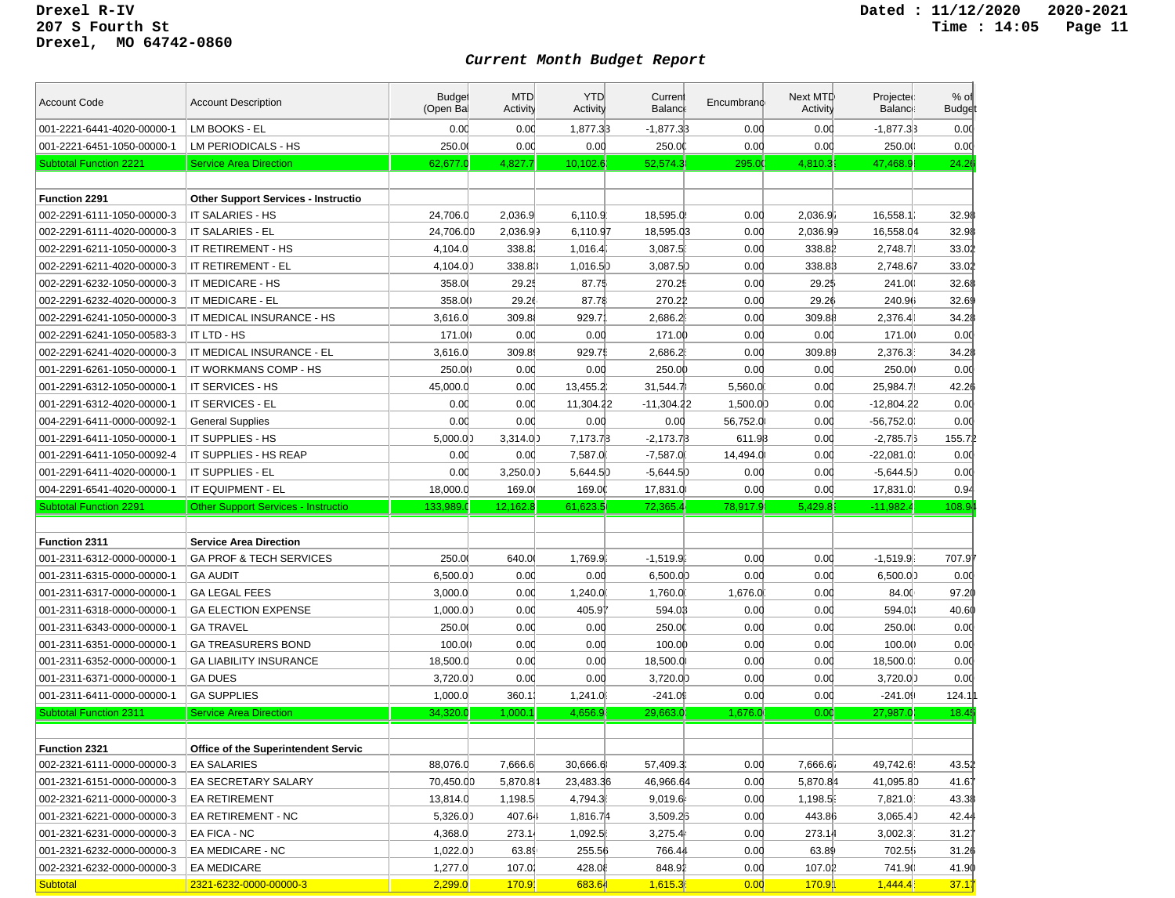| <b>Account Code</b>                                         | <b>Account Description</b>                          | <b>Budget</b><br>(Open Bal | <b>MTD</b><br>Activity | <b>YTD</b><br>Activity | Current<br>Balanc    | Encumbrand      | Next MTD<br>Activity | Projected<br><b>Balance</b> | $%$ of<br><b>Budget</b> |
|-------------------------------------------------------------|-----------------------------------------------------|----------------------------|------------------------|------------------------|----------------------|-----------------|----------------------|-----------------------------|-------------------------|
| 001-2221-6441-4020-00000-1                                  | LM BOOKS - EL                                       | 0.00                       | 0.00                   | 1.877.33               | $-1,877.33$          | 0.00            | 0.00                 | $-1.877.33$                 | 0.00                    |
| 001-2221-6451-1050-00000-1                                  | LM PERIODICALS - HS                                 | 250.00                     | 0.00                   | 0.00                   | 250.00               | 0.00            | 0.00                 | 250.00                      | 0.00                    |
| <b>Subtotal Function 2221</b>                               | <b>Service Area Direction</b>                       | 62,677.0                   | 4,827.7                | 10,102.6               | 52,574.3             | 295.00          | 4,810.3              | 47,468.9                    | 24.26                   |
|                                                             |                                                     |                            |                        |                        |                      |                 |                      |                             |                         |
| Function 2291                                               | <b>Other Support Services - Instructio</b>          |                            |                        |                        |                      |                 |                      |                             |                         |
| 002-2291-6111-1050-00000-3                                  | IT SALARIES - HS                                    | 24,706.0                   | 2,036.9                | 6,110.9                | 18,595.0             | 0.00            | 2,036.9              | 16,558.1                    | 32.98                   |
| 002-2291-6111-4020-00000-3                                  | IT SALARIES - EL                                    | 24,706.00                  | 2,036.99               | 6,110.97               | 18,595.03            | 0.00            | 2,036.99             | 16,558.04                   | 32.98                   |
| 002-2291-6211-1050-00000-3                                  | IT RETIREMENT - HS                                  | 4.104.0                    | 338.81                 | 1,016.4                | 3,087.5              | 0.00            | 338.81               | 2,748.71                    | 33.02                   |
| 002-2291-6211-4020-00000-3                                  | IT RETIREMENT - EL                                  | 4,104.00                   | 338.83                 | 1,016.50               | 3,087.5              | 0.00            | 338.83               | 2,748.67                    | 33.02                   |
| 002-2291-6232-1050-00000-3                                  | IT MEDICARE - HS                                    | 358.0                      | 29.25                  | 87.75                  | 270.2                | 0.00            | 29.25                | 241.00                      | 32.68                   |
| 002-2291-6232-4020-00000-3                                  | IT MEDICARE - EL                                    | 358.00                     | 29.26                  | 87.78                  | 270.22               | 0.00            | 29.26                | 240.96                      | 32.69                   |
| 002-2291-6241-1050-00000-3                                  | IT MEDICAL INSURANCE - HS                           | 3,616.0                    | 309.8                  | 929.7                  | 2,686.2              | 0.00            | 309.88               | 2,376.41                    | 34.28                   |
| 002-2291-6241-1050-00583-3                                  | IT LTD - HS                                         | 171.00                     | 0.00                   | 0.00                   | 171.00               | 0.00            | 0.00                 | 171.00                      | 0.00                    |
| 002-2291-6241-4020-00000-3                                  | IT MEDICAL INSURANCE - EL                           | 3,616.0                    | 309.8                  | 929.75                 | 2,686.2              | 0.00            | 309.89               | 2,376.3                     | 34.28                   |
| 001-2291-6261-1050-00000-1                                  | IT WORKMANS COMP - HS                               | 250.00                     | 0.00                   | 0.00                   | 250.00               | 0.00            | 0.00                 | 250.00                      | 0.00                    |
| 001-2291-6312-1050-00000-1                                  | IT SERVICES - HS                                    | 45,000.0                   | 0.00                   | 13,455.2               | 31,544.7             | 5,560.0         | 0.00                 | 25,984.7                    | 42.26                   |
| 001-2291-6312-4020-00000-1                                  | IT SERVICES - EL                                    | 0.00                       | 0.00                   | 11,304.22              | -11,304.22           | 1,500.00        | 0.00                 | $-12,804.22$                | 0.00                    |
| 004-2291-6411-0000-00092-1                                  | <b>General Supplies</b>                             | 0.00                       | 0.00                   | 0.00                   | 0.00                 | 56,752.0        | 0.00                 | $-56,752.00$                | 0.00                    |
| 001-2291-6411-1050-00000-1                                  | IT SUPPLIES - HS                                    | 5,000.00                   | 3,314.0)               | 7,173.73               | $-2,173.73$          | 611.93          | 0.00                 | $-2,785.7$                  | 155.7                   |
| 001-2291-6411-1050-00092-4                                  | IT SUPPLIES - HS REAP                               | 0.00                       | 0.00                   | 7,587.0                | $-7,587.0$           | 14,494.0        | 0.00                 | $-22,081.00$                | 0.00                    |
| 001-2291-6411-4020-00000-1                                  | IT SUPPLIES - EL                                    | 0.00                       | 3,250.0)               | 5,644.5)               | $-5,644.5)$          | 0.00            | 0.00                 | $-5,644.5$                  | 0.00                    |
|                                                             |                                                     |                            |                        |                        |                      |                 |                      |                             |                         |
|                                                             |                                                     |                            |                        |                        |                      |                 |                      |                             |                         |
| 004-2291-6541-4020-00000-1                                  | IT EQUIPMENT - EL                                   | 18,000.0                   | 169.0                  | 169.00                 | 17,831.0             | 0.00            | 0.00                 | 17,831.0                    | 0.94                    |
| <b>Subtotal Function 2291</b>                               | <b>Other Support Services - Instructio</b>          | 133,989.0                  | 12,162.8               | 61,623.5               | 72,365.4             | 78,917.9        | 5,429.8              | $-11,982.4$                 | 108.9 <sub>•</sub>      |
| <b>Function 2311</b>                                        | <b>Service Area Direction</b>                       |                            |                        |                        |                      |                 |                      |                             |                         |
| 001-2311-6312-0000-00000-1                                  | <b>GA PROF &amp; TECH SERVICES</b>                  | 250.00                     | 640.0                  | 1,769.9                | $-1,519.9$           | 0.00            | 0.00                 | $-1,519.9$                  | 707.97                  |
| 001-2311-6315-0000-00000-1                                  | <b>GA AUDIT</b>                                     | 6,500.00                   | 0.00                   | 0.00                   | 6,500.0)             | 0.00            | 0.00                 | 6,500.00                    | 0.00                    |
| 001-2311-6317-0000-00000-1                                  | <b>GA LEGAL FEES</b>                                | 3,000.0                    | 0.00                   | 1,240.0                | 1,760.0              | 1,676.0         | 0.00                 | 84.00                       | 97.20                   |
| 001-2311-6318-0000-00000-1                                  | <b>GA ELECTION EXPENSE</b>                          | 1,000.00                   | 0.00                   | 405.91                 | 594.03               | 0.00            | 0.00                 | 594.03                      | 40.60                   |
| 001-2311-6343-0000-00000-1                                  | <b>GA TRAVEL</b>                                    | 250.00                     | 0.00                   | 0.00                   | 250.00               | 0.00            | 0.00                 | 250.00                      | 0.00                    |
| 001-2311-6351-0000-00000-1                                  | <b>GA TREASURERS BOND</b>                           | 100.00                     | 0.00                   | 0.00                   | 100.00               | 0.00            | 0.00                 | 100.00                      | 0.00                    |
|                                                             |                                                     |                            |                        |                        |                      | 0.00            | 0.00                 |                             |                         |
| 001-2311-6352-0000-00000-1                                  | <b>GA LIABILITY INSURANCE</b><br><b>GA DUES</b>     | 18,500.0                   | 0.00                   | 0.00                   | 18,500.0             | 0.00            |                      | 18,500.0                    | 0.00                    |
| 001-2311-6371-0000-00000-1                                  |                                                     | 3,720.00                   | 0.00                   | 0.00                   | 3,720.00             |                 | 0.00                 | 3,720.00                    | 0.00                    |
| 001-2311-6411-0000-00000-1<br><b>Subtotal Function 2311</b> | <b>GA SUPPLIES</b><br><b>Service Area Direction</b> | 1,000.0<br>34,320.0        | 360.1<br>1,000.1       | 1,241.0<br>4,656.9     | $-241.0$<br>29,663.0 | 0.00<br>1,676.0 | 0.00<br>0.00         | $-241.09$<br>27,987.0       | 124.1<br>18.45          |
|                                                             |                                                     |                            |                        |                        |                      |                 |                      |                             |                         |
| Function 2321                                               | Office of the Superintendent Servic                 |                            |                        |                        |                      |                 |                      |                             |                         |
| 002-2321-6111-0000-00000-3                                  | <b>EA SALARIES</b>                                  | 88,076.0                   | 7,666.6                | 30,666.6               | 57,409.3             | 0.00            | 7,666.6              | 49,742.6                    | 43.52                   |
| 001-2321-6151-0000-00000-3                                  | EA SECRETARY SALARY                                 | 70,450.00                  | 5,870.84               | 23,483.36              | 46,966.64            | 0.00            | 5,870.84             | 41,095.80                   | 41.67                   |
| 002-2321-6211-0000-00000-3                                  | EA RETIREMENT                                       | 13,814.0                   | 1,198.5                | 4,794.3                | 9,019.6              | 0.00            | 1,198.5              | 7,821.0                     | 43.38                   |
| 001-2321-6221-0000-00000-3                                  | EA RETIREMENT - NC                                  | 5,326.00                   | 407.64                 | 1,816.74               | 3,509.25             | 0.00            | 443.86               | 3,065.4                     | 42.44                   |
| 001-2321-6231-0000-00000-3                                  | EA FICA - NC                                        | 4,368.0                    | 273.14                 | 1,092.5                | 3,275.4              | 0.00            | 273.14               | 3,002.3                     | 31.27                   |
| 001-2321-6232-0000-00000-3                                  | EA MEDICARE - NC                                    | 1,022.00                   | 63.89                  | 255.56                 | 766.44               | 0.00            | 63.89                | 702.55                      | 31.26                   |
| 002-2321-6232-0000-00000-3                                  | EA MEDICARE                                         | 1,277.0                    | 107.01                 | 428.08                 | 848.91               | 0.00            | 107.02               | 741.90                      | 41.90                   |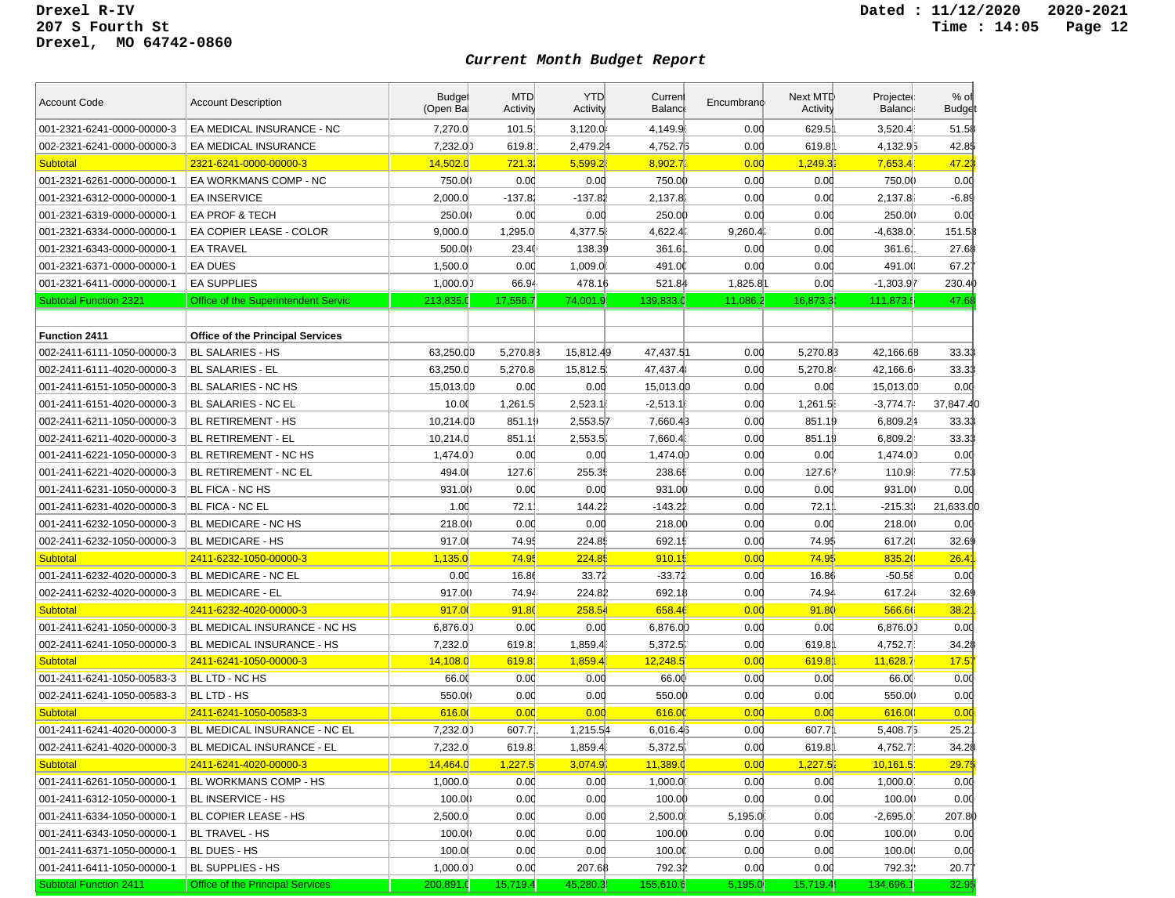| <b>Account Code</b>           | <b>Account Description</b>              | <b>Budget</b><br>(Open Bal | <b>MTD</b><br>Activity | <b>YTD</b><br>Activity | Current<br><b>Balanc</b> | Encumbrand | Next MTD<br>Activity | Projected<br>Balance: | $%$ of<br><b>Budget</b> |
|-------------------------------|-----------------------------------------|----------------------------|------------------------|------------------------|--------------------------|------------|----------------------|-----------------------|-------------------------|
| 001-2321-6241-0000-00000-3    | EA MEDICAL INSURANCE - NC               | 7,270.0                    | 101.5                  | 3,120.0                | 4,149.9                  | 0.00       | 629.5                | 3,520.4               | 51.58                   |
| 002-2321-6241-0000-00000-3    | EA MEDICAL INSURANCE                    | 7,232.00                   | 619.8                  | 2,479.24               | 4,752.73                 | 0.00       | 619.8                | 4,132.95              | 42.8\$                  |
| <b>Subtotal</b>               | 2321-6241-0000-00000-3                  | 14,502.0                   | 721.32                 | 5,599.2                | 8,902.7                  | 0.00       | 1,249.3              | 7,653.4               | 47.23                   |
| 001-2321-6261-0000-00000-1    | EA WORKMANS COMP - NC                   | 750.00                     | 0.00                   | 0.00                   | 750.00                   | 0.00       | 0.00                 | 750.00                | 0.00                    |
| 001-2321-6312-0000-00000-1    | <b>EA INSERVICE</b>                     | 2,000.0                    | $-137.81$              | $-137.81$              | 2,137.8                  | 0.00       | 0.00                 | 2,137.8               | $-6.89$                 |
| 001-2321-6319-0000-00000-1    | EA PROF & TECH                          | 250.00                     | 0.00                   | 0.00                   | 250.00                   | 0.00       | 0.00                 | 250.00                | 0.00                    |
| 001-2321-6334-0000-00000-1    | EA COPIER LEASE - COLOR                 | 9,000.0                    | 1,295.0                | 4,377.5                | 4,622.4                  | 9,260.4    | 0.00                 | $-4,638.0$            | 151.53                  |
| 001-2321-6343-0000-00000-1    | <b>EA TRAVEL</b>                        | 500.00                     | 23.40                  | 138.39                 | 361.6                    | 0.00       | 0.00                 | 361.6                 | 27.68                   |
| 001-2321-6371-0000-00000-1    | <b>EA DUES</b>                          | 1,500.0                    | 0.00                   | 1,009.0                | 491.0                    | 0.00       | 0.00                 | 491.00                | 67.27                   |
| 001-2321-6411-0000-00000-1    | <b>EA SUPPLIES</b>                      | 1,000.00                   | 66.94                  | 478.16                 | 521.84                   | 1,825.81   | 0.00                 | $-1,303.97$           | 230.40                  |
| <b>Subtotal Function 2321</b> | Office of the Superintendent Servic     | 213,835.0                  | 17,556.7               | 74,001.9               | 139,833.0                | 11,086.2   | 16,873.3             | 111,873.              | 47.68                   |
|                               |                                         |                            |                        |                        |                          |            |                      |                       |                         |
| <b>Function 2411</b>          | <b>Office of the Principal Services</b> |                            |                        |                        |                          |            |                      |                       |                         |
| 002-2411-6111-1050-00000-3    | <b>BL SALARIES - HS</b>                 | 63,250.00                  | 5,270.83               | 15,812.49              | 47,437.51                | 0.00       | 5,270.83             | 42,166.68             | 33.33                   |
| 002-2411-6111-4020-00000-3    | <b>BL SALARIES - EL</b>                 | 63,250.0                   | 5,270.8                | 15,812.5               | 47,437.4                 | 0.00       | 5,270.8              | 42,166.6              | 33.33                   |
| 001-2411-6151-1050-00000-3    | BL SALARIES - NC HS                     | 15,013.00                  | 0.00                   | 0.00                   | 15,013.00                | 0.00       | 0.00                 | 15,013.00             | 0.00                    |
| 001-2411-6151-4020-00000-3    | BL SALARIES - NC EL                     | 10.00                      | 1,261.5                | 2,523.1                | $-2,513.1$               | 0.00       | 1,261.5              | $-3,774.74$           | 37,847.4                |
| 002-2411-6211-1050-00000-3    | <b>BL RETIREMENT - HS</b>               | 10,214.00                  | 851.19                 | 2,553.57               | 7.660.43                 | 0.00       | 851.19               | 6,809.24              | 33.33                   |
| 002-2411-6211-4020-00000-3    | <b>BL RETIREMENT - EL</b>               | 10,214.0                   | 851.1                  | 2,553.5                | 7,660.4                  | 0.00       | 851.19               | 6,809.2               | 33.33                   |
| 001-2411-6221-1050-00000-3    | BL RETIREMENT - NC HS                   | 1,474.00                   | 0.00                   | 0.00                   | 1,474.00                 | 0.00       | 0.00                 | 1,474.00              | 0.00                    |
| 001-2411-6221-4020-00000-3    | <b>BL RETIREMENT - NC EL</b>            | 494.00                     | 127.61                 | 255.35                 | 238.65                   | 0.00       | 127.61               | 110.9                 | 77.53                   |
| 001-2411-6231-1050-00000-3    | BL FICA - NC HS                         | 931.00                     | 0.00                   | 0.00                   | 931.00                   | 0.00       | 0.00                 | 931.00                | 0.00                    |
| 001-2411-6231-4020-00000-3    | <b>BL FICA - NC EL</b>                  | 1.00                       | 72.1                   | 144.22                 | $-143.21$                | 0.00       | 72.1                 | $-215.33$             | 21,633.0                |
| 001-2411-6232-1050-00000-3    | BL MEDICARE - NC HS                     | 218.00                     | 0.00                   | 0.00                   | 218.00                   | 0.00       | 0.00                 | 218.00                | 0.00                    |
| 002-2411-6232-1050-00000-3    | <b>BL MEDICARE - HS</b>                 | 917.00                     | 74.95                  | 224.85                 | 692.15                   | 0.00       | 74.95                | 617.20                | 32.69                   |
| <b>Subtotal</b>               | 2411-6232-1050-00000-3                  | 1,135.0                    | 74.95                  | 224.85                 | 910.15                   | 0.00       | 74.95                | 835.20                | 26.4                    |
| 001-2411-6232-4020-00000-3    | <b>BL MEDICARE - NC EL</b>              | 0.00                       | 16.86                  | 33.72                  | $-33.72$                 | 0.00       | 16.86                | $-50.58$              | 0.00                    |
| 002-2411-6232-4020-00000-3    | <b>BL MEDICARE - EL</b>                 | 917.00                     | 74.94                  | 224.81                 | 692.18                   | 0.00       | 74.94                | 617.24                | 32.69                   |
| <b>Subtotal</b>               | 2411-6232-4020-00000-3                  | 917.00                     | 91.80                  | 258.54                 | 658.46                   | 0.00       | 91.80                | 566.66                | 38.2                    |
| 001-2411-6241-1050-00000-3    | BL MEDICAL INSURANCE - NC HS            | 6,876.0)                   | 0.00                   | 0.00                   | 6,876.00                 | 0.00       | 0.00                 | 6,876.00              | 0.00                    |
| 002-2411-6241-1050-00000-3    | BL MEDICAL INSURANCE - HS               | 7,232.0                    | 619.8                  | 1,859.4                | 5,372.5                  | 0.00       | 619.8                | 4,752.7               | 34.28                   |
| <b>Subtotal</b>               | 2411-6241-1050-00000-3                  | 14,108.0                   | 619.8'                 | 1,859.4                | 12,248.5                 | 0.00       | 619.8                | 11,628.7              | 17.57                   |
| 001-2411-6241-1050-00583-3    | BL LTD - NC HS                          | 66.00                      | 0.00                   | 0.00                   | 66.00                    | 0.00       | 0.00                 | 66.00                 | 0.00                    |
| 002-2411-6241-1050-00583-3    | BL LTD - HS                             | 550.00                     | 0.00                   | 0.00                   | 550.00                   | 0.00       | 0.00                 | 550.00                | 0.00                    |
| Subtotal                      | 2411-6241-1050-00583-3                  | 616.00                     | 0.00                   | 0.00                   | 616.00                   | 0.00       | 0.00                 | 616.00                | 0.00                    |
| 001-2411-6241-4020-00000-3    | BL MEDICAL INSURANCE - NC EL            | 7.232.00                   | 607.7                  | 1,215.54               | 6,016.43                 | 0.00       | 607.7                | 5,408.75              | $25.2^{\circ}$          |
| 002-2411-6241-4020-00000-3    | BL MEDICAL INSURANCE - EL               | 7,232.0                    | 619.8                  | 1,859.4                | 5,372.5                  | 0.00       | 619.8                | 4,752.7               | 34.28                   |
| <b>Subtotal</b>               | 2411-6241-4020-00000-3                  | 14,464.0                   | 1,227.5                | 3,074.9                | 11,389.0                 | 0.00       | 1,227.5              | 10,161.5              | 29.75                   |
| 001-2411-6261-1050-00000-1    | BL WORKMANS COMP - HS                   | 1,000.0                    | 0.00                   | 0.00                   | 1,000.0                  | 0.00       | 0.00                 | 1,000.0               | 0.00                    |
| 001-2411-6312-1050-00000-1    | BL INSERVICE - HS                       | 100.00                     | 0.00                   | 0.00                   | 100.00                   | 0.00       | 0.00                 | 100.0()               | 0.00                    |
| 001-2411-6334-1050-00000-1    | BL COPIER LEASE - HS                    | 2,500.0                    | 0.00                   | 0.00                   | 2,500.0                  | 5,195.0    | 0.00                 | $-2,695.0$            | 207.80                  |
| 001-2411-6343-1050-00000-1    | BL TRAVEL - HS                          | 100.0()                    | 0.00                   | 0.00                   | 100.00                   | 0.00       | 0.00                 | 100.0()               | 0.00                    |
| 001-2411-6371-1050-00000-1    | BL DUES - HS                            | 100.00                     | 0.00                   | 0.00                   | 100.00                   | 0.00       | 0.00                 | 100.0()               | 0.00                    |
| 001-2411-6411-1050-00000-1    | BL SUPPLIES - HS                        | 1,000.00                   | 0.00                   | 207.68                 | 792.31                   | 0.00       | 0.00                 | 792.32                | 20.77                   |
| <b>Subtotal Function 2411</b> | <b>Office of the Principal Services</b> | 200,891.0                  | 15,719.4               | 45,280.3               | 155,610.6                | 5,195.0    | 15,719.4             | 134,696.1             | 32.9\$                  |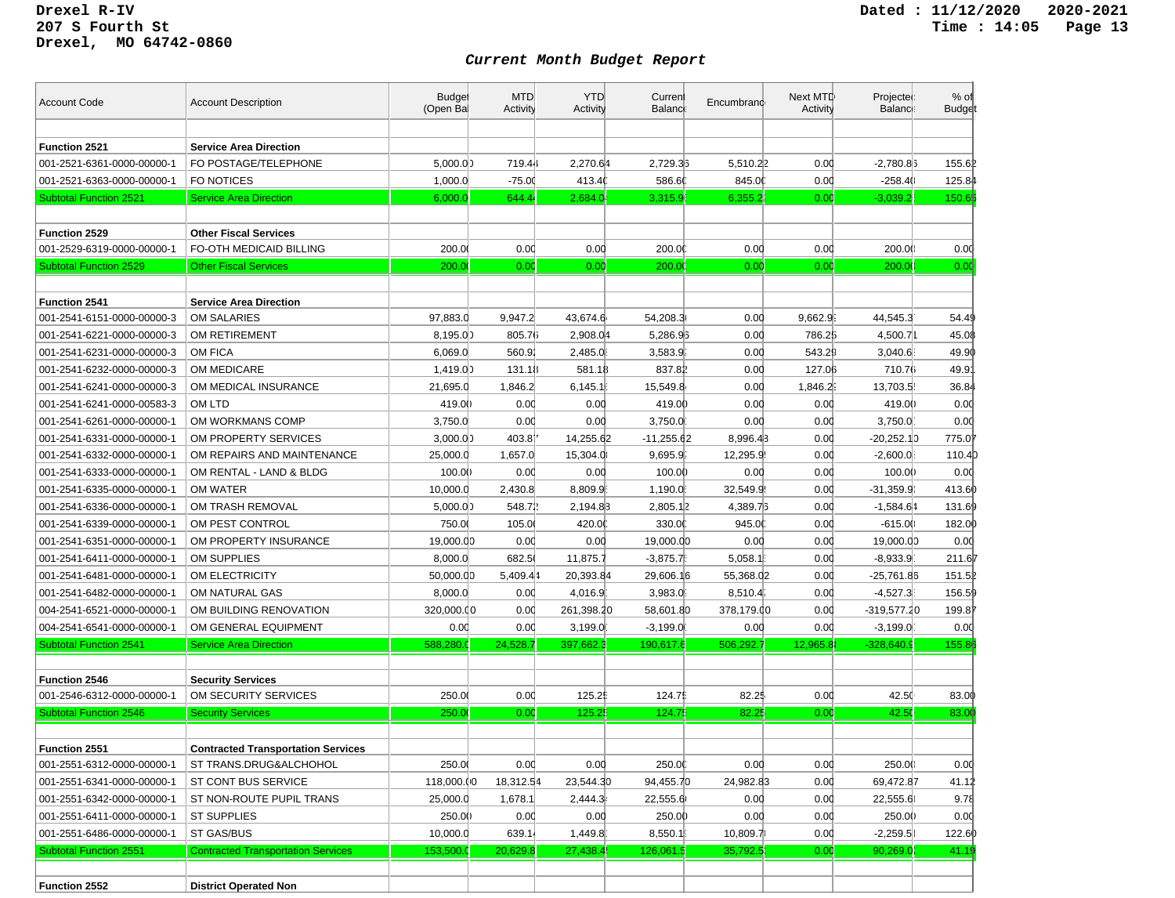| <b>Account Code</b>           | <b>Account Description</b>                | <b>Budget</b><br>(Open Bal | <b>MTD</b><br>Activity | <b>YTD</b><br>Activity | Current<br><b>Balanc</b> | Encumbrand | Next MTD<br><b>Activity</b> | Projected<br>Balance: | % of<br><b>Budget</b> |
|-------------------------------|-------------------------------------------|----------------------------|------------------------|------------------------|--------------------------|------------|-----------------------------|-----------------------|-----------------------|
|                               |                                           |                            |                        |                        |                          |            |                             |                       |                       |
| <b>Function 2521</b>          | <b>Service Area Direction</b>             |                            |                        |                        |                          |            |                             |                       |                       |
| 001-2521-6361-0000-00000-1    | FO POSTAGE/TELEPHONE                      | 5,000.00                   | 719.44                 | 2,270.64               | 2,729.33                 | 5,510.22   | 0.00                        | $-2,780.86$           | 155.62                |
| 001-2521-6363-0000-00000-1    | FO NOTICES                                | 1,000.0                    | $-75.00$               | 413.40                 | 586.60                   | 845.00     | 0.00                        | $-258.4()$            | 125.84                |
| <b>Subtotal Function 2521</b> | <b>Service Area Direction</b>             | 6,000.0                    | 644.4                  | 2,684.0                | 3,315.9                  | 6,355.2    | 0.00                        | $-3,039.2$            | 150.6 <sub>1</sub>    |
|                               |                                           |                            |                        |                        |                          |            |                             |                       |                       |
| Function 2529                 | <b>Other Fiscal Services</b>              |                            |                        |                        |                          |            |                             |                       |                       |
| 001-2529-6319-0000-00000-1    | FO-OTH MEDICAID BILLING                   | 200.00                     | 0.00                   | 0.00                   | 200.00                   | 0.00       | 0.00                        | 200.00                | 0.00                  |
| <b>Subtotal Function 2529</b> | <b>Other Fiscal Services</b>              | 200.00                     | 0.00                   | 0.00                   | 200.0                    | 0.00       | 0.00                        | 200.0                 | 0.00                  |
|                               |                                           |                            |                        |                        |                          |            |                             |                       |                       |
| <b>Function 2541</b>          | <b>Service Area Direction</b>             |                            |                        |                        |                          |            |                             |                       |                       |
| 001-2541-6151-0000-00000-3    | OM SALARIES                               | 97,883.0                   | 9,947.2                | 43,674.6               | 54,208.3                 | 0.00       | 9,662.9                     | 44,545.3              | 54.49                 |
| 001-2541-6221-0000-00000-3    | OM RETIREMENT                             | 8,195.0)                   | 805.76                 | 2,908.04               | 5,286.93                 | 0.00       | 786.25                      | 4,500.71              | 45.08                 |
| 001-2541-6231-0000-00000-3    | <b>OM FICA</b>                            | 6,069.0                    | 560.91                 | 2,485.0                | 3,583.9                  | 0.00       | 543.29                      | 3,040.6               | 49.90                 |
| 001-2541-6232-0000-00000-3    | OM MEDICARE                               | 1,419.00                   | 131.18                 | 581.18                 | 837.82                   | 0.00       | 127.06                      | 710.76                | 49.9'                 |
| 001-2541-6241-0000-00000-3    | OM MEDICAL INSURANCE                      | 21,695.0                   | 1,846.2                | 6,145.1                | 15,549.8                 | 0.00       | 1,846.2                     | 13,703.5              | 36.84                 |
| 001-2541-6241-0000-00583-3    | OM LTD                                    | 419.00                     | 0.00                   | 0.00                   | 419.00                   | 0.00       | 0.00                        | 419.00                | 0.00                  |
| 001-2541-6261-0000-00000-1    | OM WORKMANS COMP                          | 3,750.0                    | 0.00                   | 0.00                   | 3,750.0                  | 0.00       | 0.00                        | 3,750.0               | 0.00                  |
| 001-2541-6331-0000-00000-1    | OM PROPERTY SERVICES                      | 3,000.00                   | 403.81                 | 14,255.62              | -11,255.62               | 8,996.43   | 0.00                        | $-20,252.10$          | 775.07                |
| 001-2541-6332-0000-00000-1    | OM REPAIRS AND MAINTENANCE                | 25,000.0                   | 1,657.0                | 15,304.0               | 9,695.9                  | 12,295.9   | 0.00                        | $-2,600.0$            | 110.4                 |
| 001-2541-6333-0000-00000-1    | OM RENTAL - LAND & BLDG                   | 100.00                     | 0.00                   | 0.00                   | 100.00                   | 0.00       | 0.00                        | 100.0()               | 0.00                  |
| 001-2541-6335-0000-00000-1    | OM WATER                                  | 10,000.0                   | 2,430.8                | 8,809.9                | 1,190.0                  | 32.549.9   | 0.00                        | $-31,359.90$          | 413.60                |
| 001-2541-6336-0000-00000-1    | OM TRASH REMOVAL                          | 5,000.00                   | 548.72                 | 2,194.83               | 2,805.12                 | 4,389.75   | 0.00                        | $-1,584.64$           | 131.69                |
| 001-2541-6339-0000-00000-1    | OM PEST CONTROL                           | 750.00                     | 105.00                 | 420.00                 | 330.0                    | 945.00     | 0.00                        | $-615.0()$            | 182.00                |
| 001-2541-6351-0000-00000-1    | OM PROPERTY INSURANCE                     | 19,000.00                  | 0.00                   | 0.00                   | 19,000.00                | 0.00       | 0.00                        | 19,000.00             | 0.00                  |
| 001-2541-6411-0000-00000-1    | OM SUPPLIES                               | 8,000.0                    | 682.5                  | 11,875.7               | $-3,875.7$               | 5,058.1    | 0.00                        | $-8,933.9$            | 211.67                |
| 001-2541-6481-0000-00000-1    | OM ELECTRICITY                            | 50,000.00                  | 5,409.44               | 20,393.84              | 29,606.16                | 55,368.02  | 0.00                        | -25,761.86            | 151.52                |
| 001-2541-6482-0000-00000-1    | OM NATURAL GAS                            | 8,000.0                    | 0.00                   | 4,016.9                | 3,983.0                  | 8,510.4    | 0.00                        | $-4,527.3$            | 156.59                |
| 004-2541-6521-0000-00000-1    | OM BUILDING RENOVATION                    | 320,000.00                 | 0.00                   | 261,398.20             | 58,601.80                | 378,179.00 | 0.00                        | -319,577.20           | 199.87                |
| 004-2541-6541-0000-00000-1    | OM GENERAL EQUIPMENT                      | 0.00                       | 0.00                   | 3,199.0                | $-3,199.0$               | 0.00       | 0.00                        | $-3,199.0$            | 0.00                  |
| <b>Subtotal Function 2541</b> | <b>Service Area Direction</b>             | 588,280.0                  | 24,528.7               | 397,662.3              | 190,617.6                | 506,292.7  | 12,965.8                    | $-328,640.9$          | 155.8€                |
|                               |                                           |                            |                        |                        |                          |            |                             |                       |                       |
| <b>Function 2546</b>          | <b>Security Services</b>                  |                            |                        |                        |                          |            |                             |                       |                       |
| 001-2546-6312-0000-00000-1    | OM SECURITY SERVICES                      | 250.0                      | 0.00                   | 125.25                 | 124.75                   | 82.25      | 0.00                        | 42.50                 | 83.00                 |
| <b>Subtotal Function 2546</b> | <b>Security Services</b>                  | 250.0                      | 0.00                   | 125.25                 | 124.7                    | 82.25      | 0.00                        | 42.5                  | 83.00                 |
|                               |                                           |                            |                        |                        |                          |            |                             |                       |                       |
| <b>Function 2551</b>          | <b>Contracted Transportation Services</b> |                            |                        |                        |                          |            |                             |                       |                       |
| 001-2551-6312-0000-00000-1    | ST TRANS.DRUG&ALCHOHOL                    | 250.00                     | 0.00                   | 0.00                   | 250.00                   | 0.00       | 0.00                        | 250.00                | 0.00                  |
| 001-2551-6341-0000-00000-1    | ST CONT BUS SERVICE                       | 118,000.00                 | 18,312.54              | 23,544.30              | 94,455.70                | 24,982.83  | 0.00                        | 69,472.87             | 41.12                 |
| 001-2551-6342-0000-00000-1    | ST NON-ROUTE PUPIL TRANS                  | 25,000.0                   | 1,678.1                | 2,444.3                | 22,555.6                 | 0.00       | 0.00                        | 22,555.6              | 9.78                  |
| 001-2551-6411-0000-00000-1    | <b>ST SUPPLIES</b>                        | 250.00                     | 0.00                   | 0.00                   | 250.00                   | 0.00       | 0.00                        | 250.00                | 0.00                  |
| 001-2551-6486-0000-00000-1    | ST GAS/BUS                                | 10,000.0                   | 639.14                 | 1,449.8                | 8,550.1                  | 10,809.7   | 0.00                        | $-2,259.51$           | 122.60                |
| <b>Subtotal Function 2551</b> | <b>Contracted Transportation Services</b> | 153,500.0                  | 20,629.8               | 27,438.4               | 126,061.                 | 35,792.5   | 0.00                        | 90,269.0              | 41.19                 |
|                               |                                           |                            |                        |                        |                          |            |                             |                       |                       |
| Function 2552                 | <b>District Operated Non</b>              |                            |                        |                        |                          |            |                             |                       |                       |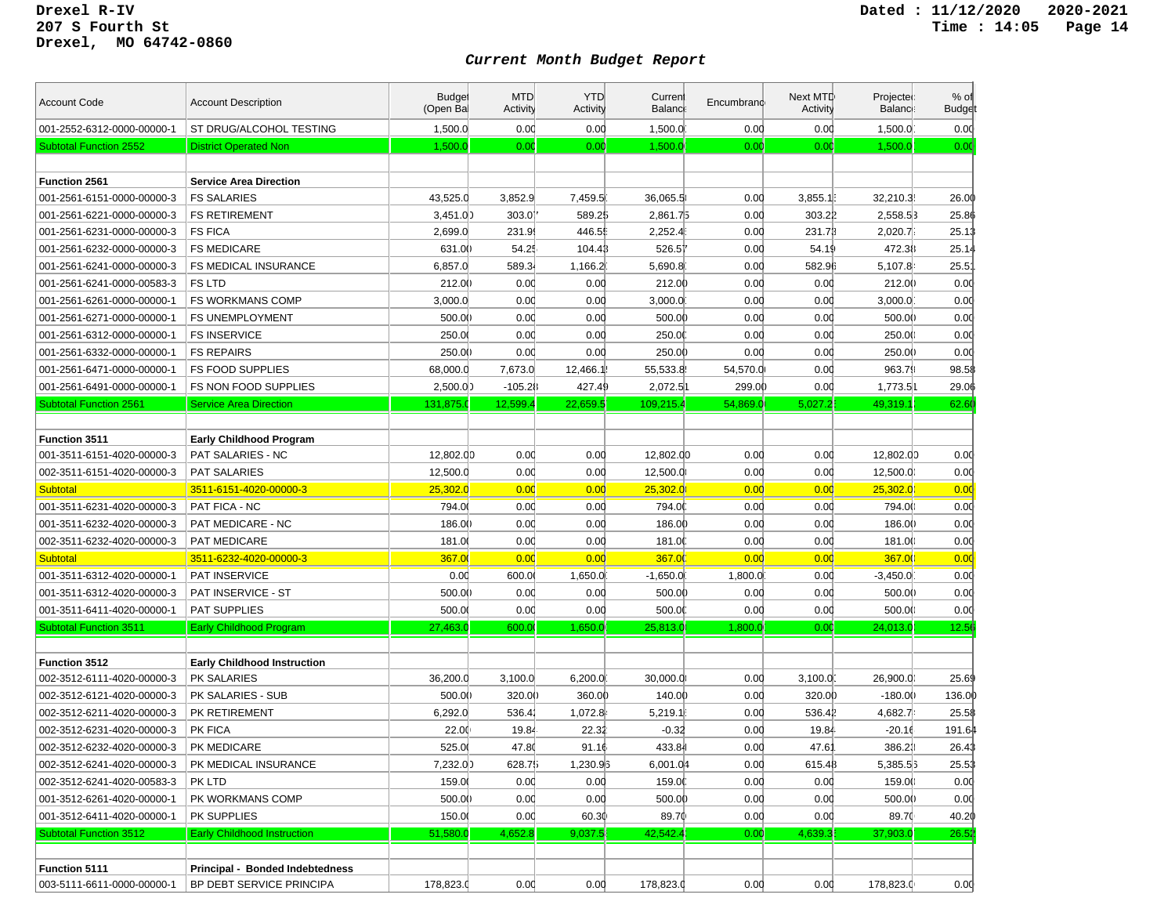| <b>Account Code</b>           | <b>Account Description</b>         | <b>Budget</b><br>(Open Bal | <b>MTD</b><br><b>Activity</b> | <b>YTD</b><br>Activity | Curren<br><b>Balanc</b> | Encumbrand | Next MTD<br>Activity | Projected<br><b>Balance</b> | $%$ of<br><b>Budget</b> |
|-------------------------------|------------------------------------|----------------------------|-------------------------------|------------------------|-------------------------|------------|----------------------|-----------------------------|-------------------------|
| 001-2552-6312-0000-00000-1    | ST DRUG/ALCOHOL TESTING            | 1,500.0                    | 0.00                          | 0.00                   | 1,500.0                 | 0.00       | 0.00                 | 1,500.0                     | 0.00                    |
| <b>Subtotal Function 2552</b> | <b>District Operated Non</b>       | 1,500.0                    | 0.00                          | 0.00                   | 1,500.0                 | 0.00       | 0.00                 | 1,500.0                     | 0.00                    |
|                               |                                    |                            |                               |                        |                         |            |                      |                             |                         |
| Function 2561                 | <b>Service Area Direction</b>      |                            |                               |                        |                         |            |                      |                             |                         |
| 001-2561-6151-0000-00000-3    | <b>FS SALARIES</b>                 | 43,525.0                   | 3,852.9                       | 7,459.5                | 36,065.5                | 0.00       | 3,855.1              | 32,210.3                    | 26.00                   |
| 001-2561-6221-0000-00000-3    | <b>FS RETIREMENT</b>               | 3,451.00                   | 303.01                        | 589.25                 | 2,861.75                | 0.00       | 303.22               | 2,558.53                    | 25.86                   |
| 001-2561-6231-0000-00000-3    | <b>FS FICA</b>                     | 2,699.0                    | 231.9                         | 446.55                 | 2,252.4                 | 0.00       | 231.73               | 2,020.7                     | 25.13                   |
| 001-2561-6232-0000-00000-3    | <b>FS MEDICARE</b>                 | 631.00                     | 54.25                         | 104.43                 | 526.51                  | 0.00       | 54.19                | 472.38                      | 25.14                   |
| 001-2561-6241-0000-00000-3    | <b>FS MEDICAL INSURANCE</b>        | 6,857.0                    | 589.34                        | 1,166.2                | 5,690.8                 | 0.00       | 582.96               | 5,107.8                     | $25.5^{\circ}$          |
| 001-2561-6241-0000-00583-3    | FS LTD                             | 212.00                     | 0.00                          | 0.00                   | 212.00                  | 0.00       | 0.00                 | 212.00                      | 0.00                    |
| 001-2561-6261-0000-00000-1    | <b>FS WORKMANS COMP</b>            | 3,000.0                    | 0.00                          | 0.00                   | 3,000.0                 | 0.00       | 0.00                 | 3,000.0                     | 0.00                    |
| 001-2561-6271-0000-00000-1    | <b>FS UNEMPLOYMENT</b>             | 500.00                     | 0.00                          | 0.00                   | 500.00                  | 0.00       | 0.00                 | 500.00                      | 0.00                    |
| 001-2561-6312-0000-00000-1    | <b>FS INSERVICE</b>                | 250.00                     | 0.00                          | 0.00                   | 250.0                   | 0.00       | 0.00                 | 250.00                      | 0.00                    |
| 001-2561-6332-0000-00000-1    | <b>FS REPAIRS</b>                  | 250.00                     | 0.00                          | 0.00                   | 250.00                  | 0.00       | 0.00                 | 250.00                      | 0.00                    |
| 001-2561-6471-0000-00000-1    | <b>FS FOOD SUPPLIES</b>            | 68,000.0                   | 7,673.0                       | 12,466.1               | 55,533.8                | 54,570.0   | 0.00                 | 963.79                      | 98.58                   |
| 001-2561-6491-0000-00000-1    | FS NON FOOD SUPPLIES               | 2,500.00                   | $-105.28$                     | 427.49                 | 2,072.51                | 299.00     | 0.00                 | 1,773.51                    | 29.06                   |
| <b>Subtotal Function 2561</b> | <b>Service Area Direction</b>      | 131,875.                   | 12,599.4                      | 22,659.5               | 109,215.4               | 54,869.0   | 5,027.2              | 49,319.1                    | 62.60                   |
|                               |                                    |                            |                               |                        |                         |            |                      |                             |                         |
| <b>Function 3511</b>          | <b>Early Childhood Program</b>     |                            |                               |                        |                         |            |                      |                             |                         |
| 001-3511-6151-4020-00000-3    | PAT SALARIES - NC                  | 12,802.00                  | 0.00                          | 0.00                   | 12,802.00               | 0.00       | 0.00                 | 12,802.00                   | 0.00                    |
| 002-3511-6151-4020-00000-3    | <b>PAT SALARIES</b>                | 12,500.0                   | 0.00                          | 0.00                   | 12,500.0                | 0.00       | 0.00                 | 12,500.0                    | 0.00                    |
| <b>Subtotal</b>               | 3511-6151-4020-00000-3             | 25,302.0                   | 0.00                          | 0.00                   | 25,302.0                | 0.00       | 0.00                 | 25.302.0                    | 0.00                    |
| 001-3511-6231-4020-00000-3    | PAT FICA - NC                      | 794.0                      | 0.00                          | 0.00                   | 794.0                   | 0.00       | 0.00                 | 794.00                      | 0.00                    |
| 001-3511-6232-4020-00000-3    | PAT MEDICARE - NC                  | 186.00                     | 0.00                          | 0.00                   | 186.00                  | 0.00       | 0.00                 | 186.00                      | 0.00                    |
| 002-3511-6232-4020-00000-3    | <b>PAT MEDICARE</b>                | 181.0                      | 0.00                          | 0.00                   | 181.0                   | 0.00       | 0.00                 | 181.00                      | 0.00                    |
| <b>Subtotal</b>               | 3511-6232-4020-00000-3             | 367.0                      | 0.00                          | 0.00                   | 367.00                  | 0.00       | 0.00                 | 367.00                      | 0.00                    |
| 001-3511-6312-4020-00000-1    | <b>PAT INSERVICE</b>               | 0.00                       | 600.0                         | 1,650.0                | $-1,650.0$              | 1,800.0    | 0.00                 | $-3,450.0$                  | 0.00                    |
| 001-3511-6312-4020-00000-3    | PAT INSERVICE - ST                 | 500.00                     | 0.00                          | 0.00                   | 500.00                  | 0.00       | 0.00                 | 500.0()                     | 0.00                    |
| 001-3511-6411-4020-00000-1    | <b>PAT SUPPLIES</b>                | 500.00                     | 0.00                          | 0.00                   | 500.00                  | 0.00       | 0.00                 | 500.00                      | 0.00                    |
| <b>Subtotal Function 3511</b> | <b>Early Childhood Program</b>     | 27,463.0                   | 600.0                         | 1,650.0                | 25,813.0                | 1,800.0    | 0.00                 | 24,013.0                    | 12.56                   |
|                               |                                    |                            |                               |                        |                         |            |                      |                             |                         |
| <b>Function 3512</b>          | <b>Early Childhood Instruction</b> |                            |                               |                        |                         |            |                      |                             |                         |
| 002-3512-6111-4020-00000-3    | PK SALARIES                        | 36,200.0                   | 3,100.0                       | 6,200.0                | 30,000.0                | 0.00       | 3,100.0              | 26,900.0                    | 25.69                   |
| 002-3512-6121-4020-00000-3    | PK SALARIES - SUB                  | 500.00                     | 320.00                        | 360.00                 | 140.00                  | 0.00       | 320.00               | $-180.00$                   | 136.00                  |
| 002-3512-6211-4020-00000-3    | PK RETIREMENT                      | 6,292.0                    | 536.41                        | 1,072.8                | 5,219.1                 | 0.00       | 536.41               | 4,682.7                     | 25.58                   |
| 002-3512-6231-4020-00000-3    | PK FICA                            | 22.00                      | 19.84                         | 22.32                  | $-0.32$                 | 0.00       | 19.84                | $-20.16$                    | 191.64                  |
| 002-3512-6232-4020-00000-3    | PK MEDICARE                        | 525.00                     | 47.80                         | 91.16                  | 433.84                  | 0.00       | 47.6'                | 386.23                      | 26.43                   |
| 002-3512-6241-4020-00000-3    | PK MEDICAL INSURANCE               | 7,232.00                   | 628.75                        | 1,230.93               | 6,001.04                | 0.00       | 615.48               | 5,385.53                    | 25.53                   |
| 002-3512-6241-4020-00583-3    | PK LTD                             | 159.00                     | 0.00                          | 0.00                   | 159.0                   | 0.00       | 0.00                 | 159.00                      | 0.00                    |
| 001-3512-6261-4020-00000-1    | PK WORKMANS COMP                   | 500.00                     | 0.00                          | 0.00                   | 500.00                  | 0.00       | 0.00                 | 500.00                      | 0.00                    |
| 001-3512-6411-4020-00000-1    | PK SUPPLIES                        | 150.0                      | 0.00                          | 60.30                  | 89.70                   | 0.00       | 0.00                 | 89.70                       | 40.20                   |
| <b>Subtotal Function 3512</b> | <b>Early Childhood Instruction</b> | 51,580.0                   | 4,652.8                       | 9,037.5                | 42,542.4                | 0.00       | 4,639.3              | 37,903.0                    | 26.52                   |
|                               |                                    |                            |                               |                        |                         |            |                      |                             |                         |
| <b>Function 5111</b>          | Principal - Bonded Indebtedness    |                            |                               |                        |                         |            |                      |                             |                         |
| 003-5111-6611-0000-00000-1    | BP DEBT SERVICE PRINCIPA           | 178,823.0                  | 0.00                          | 0.00                   | 178,823.0               | 0.00       | 0.00                 | 178,823.0                   | 0.00                    |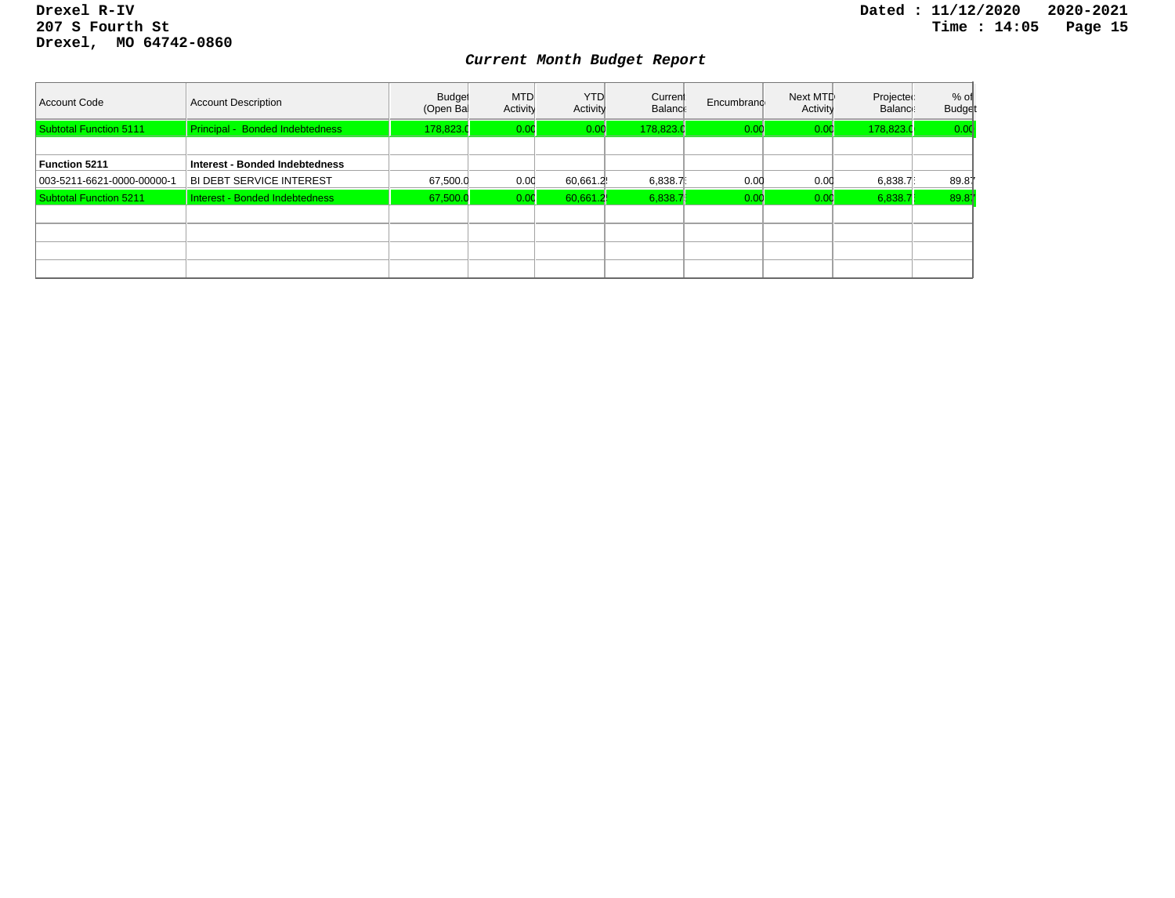| Account Code               | <b>Account Description</b>      | <b>Budget</b><br>(Open Bal | <b>MTD</b><br>Activity | <b>YTD</b><br>Activity | Current<br>Balance | Encumbrand | Next MTD<br>Activity | Projected<br>Balance: | $%$ of<br><b>Budget</b> |
|----------------------------|---------------------------------|----------------------------|------------------------|------------------------|--------------------|------------|----------------------|-----------------------|-------------------------|
| Subtotal Function 5111     | Principal - Bonded Indebtedness | 178.823.0                  | 0.00                   | 0.00                   | 178,823.0          | 0.0(       | 0.00                 | 178,823.0             | 0.00                    |
|                            |                                 |                            |                        |                        |                    |            |                      |                       |                         |
| Function 5211              | Interest - Bonded Indebtedness  |                            |                        |                        |                    |            |                      |                       |                         |
| 003-5211-6621-0000-00000-1 | <b>BI DEBT SERVICE INTEREST</b> | 67,500.0                   | 0.00                   | 60,661.2               | 6,838.7            | 0.00       | 0.00                 | 6,838.7               | 89.87                   |
| Subtotal Function 5211     | Interest - Bonded Indebtedness  | 67,500.0                   | 0.00                   | 60.661.2               | 6,838.7            | 0.0        | 0.00                 | 6,838.7               | 89.87                   |
|                            |                                 |                            |                        |                        |                    |            |                      |                       |                         |
|                            |                                 |                            |                        |                        |                    |            |                      |                       |                         |
|                            |                                 |                            |                        |                        |                    |            |                      |                       |                         |
|                            |                                 |                            |                        |                        |                    |            |                      |                       |                         |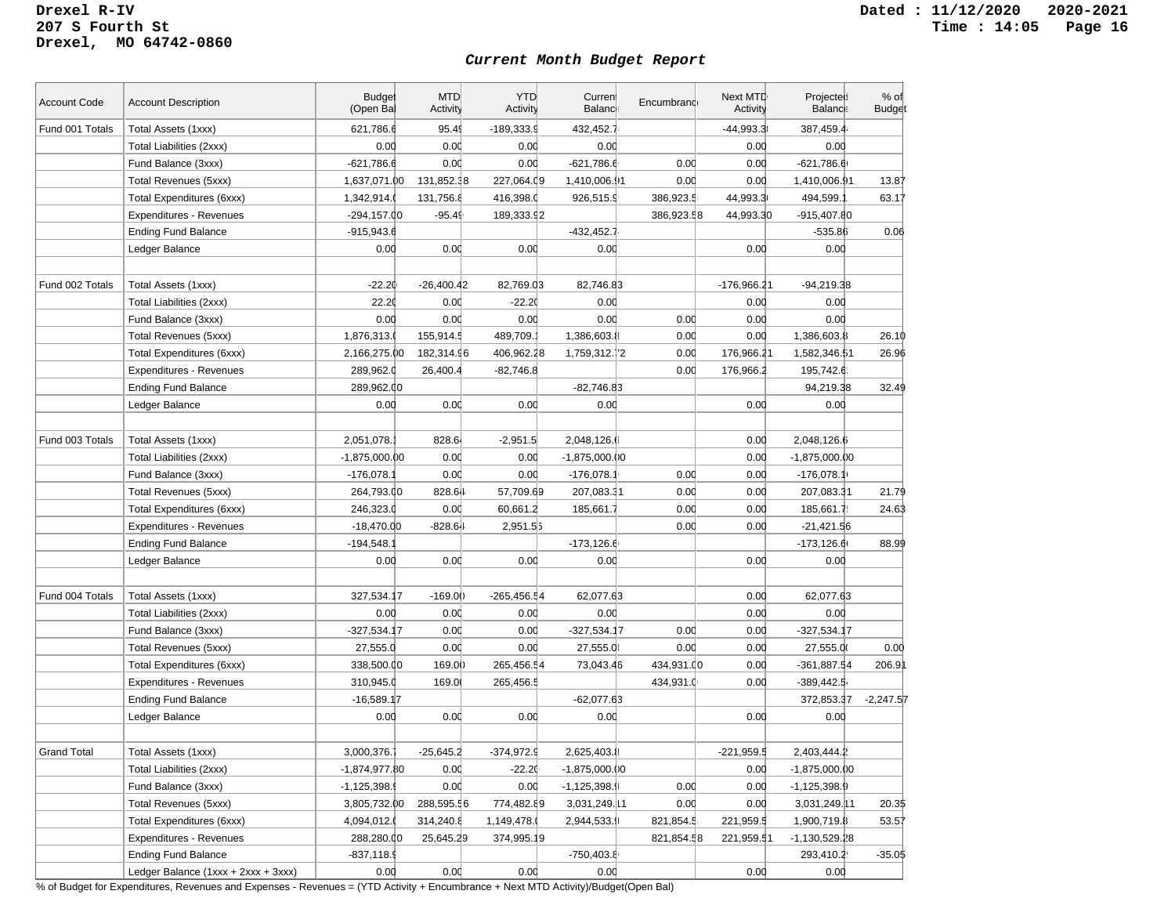#### *Current Month Budget Report*

| <b>Account Code</b> | <b>Account Description</b>          | <b>Budge</b><br>(Open Ba | <b>MTD</b><br>Activity | <b>YTD</b><br>Activity | Current<br><b>Balance</b> | Encumbrand | Next MTD<br>Activity | Projected<br>Balance: | $%$ of<br><b>Budget</b> |
|---------------------|-------------------------------------|--------------------------|------------------------|------------------------|---------------------------|------------|----------------------|-----------------------|-------------------------|
| Fund 001 Totals     | Total Assets (1xxx)                 | 621,786.6                | 95.49                  | $-189,333.9$           | 432,452.7                 |            | $-44,993.3$          | 387,459.4             |                         |
|                     | Total Liabilities (2xxx)            | 0.00                     | 0.00                   | 0.00                   | 0.00                      |            | 0.00                 | 0.00                  |                         |
|                     | Fund Balance (3xxx)                 | $-621,786.6$             | 0.00                   | 0.00                   | $-621,786.6$              | 0.00       | 0.00                 | $-621,786.6$          |                         |
|                     | Total Revenues (5xxx)               | 1,637,071.00             | 131,852.38             | 227,064.09             | 1,410,006.91              | 0.00       | 0.00                 | 1,410,006.91          | 13.87                   |
|                     | Total Expenditures (6xxx)           | 1,342,914.               | 131,756.8              | 416,398.0              | 926,515.9                 | 386,923.5  | 44,993.3             | 494,599.              | 63.17                   |
|                     | Expenditures - Revenues             | $-294, 157.00$           | $-95.49$               | 189,333.92             |                           | 386,923.58 | 44,993.30            | $-915,407.80$         |                         |
|                     | <b>Ending Fund Balance</b>          | $-915,943.6$             |                        |                        | $-432,452.7$              |            |                      | $-535.86$             | 0.06                    |
|                     | Ledger Balance                      | 0.00                     | 0.00                   | 0.00                   | 0.00                      |            | 0.00                 | 0.00                  |                         |
|                     |                                     |                          |                        |                        |                           |            |                      |                       |                         |
| Fund 002 Totals     | Total Assets (1xxx)                 | $-22.20$                 | $-26,400.42$           | 82,769.03              | 82,746.83                 |            | -176,966.21          | $-94,219.38$          |                         |
|                     | Total Liabilities (2xxx)            | 22.20                    | 0.00                   | $-22.20$               | 0.00                      |            | 0.00                 | 0.00                  |                         |
|                     | Fund Balance (3xxx)                 | 0.00                     | 0.00                   | 0.00                   | 0.00                      | 0.00       | 0.00                 | 0.00                  |                         |
|                     | Total Revenues (5xxx)               | 1,876,313.               | 155,914.5              | 489,709.               | 1,386,603.8               | 0.00       | 0.00                 | 1,386,603.8           | 26.10                   |
|                     | Total Expenditures (6xxx)           | 2,166,275.00             | 182,314.96             | 406,962.28             | 1,759,312.72              | 0.00       | 176,966.21           | 1,582,346.51          | 26.96                   |
|                     | <b>Expenditures - Revenues</b>      | 289,962.0                | 26,400.4               | $-82,746.8$            |                           | 0.00       | 176,966.2            | 195,742.6             |                         |
|                     | <b>Ending Fund Balance</b>          | 289,962.00               |                        |                        | $-82,746.83$              |            |                      | 94,219.38             | 32.49                   |
|                     | Ledger Balance                      | 0.00                     | 0.00                   | 0.00                   | 0.00                      |            | 0.00                 | 0.00                  |                         |
|                     |                                     |                          |                        |                        |                           |            |                      |                       |                         |
| Fund 003 Totals     | Total Assets (1xxx)                 | 2,051,078.               | 828.64                 | $-2,951.5$             | 2,048,126.6               |            | 0.00                 | 2,048,126.6           |                         |
|                     | Total Liabilities (2xxx)            | $-1,875,000.00$          | 0.00                   | 0.00                   | $-1,875,000.00$           |            | 0.00                 | $-1,875,000.00$       |                         |
|                     | Fund Balance (3xxx)                 | $-176,078.7$             | 0.00                   | 0.00                   | $-176,078.1$              | 0.00       | 0.00                 | $-176,078.1$          |                         |
|                     | Total Revenues (5xxx)               | 264,793.00               | 828.64                 | 57,709.69              | 207,083.31                | 0.00       | 0.00                 | 207,083.31            | 21.79                   |
|                     | Total Expenditures (6xxx)           | 246,323.0                | 0.00                   | 60,661.2               | 185,661.7                 | 0.00       | 0.00                 | 185,661.7             | 24.63                   |
|                     | <b>Expenditures - Revenues</b>      | $-18,470.00$             | $-828.64$              | 2,951.53               |                           | 0.00       | 0.00                 | $-21,421.56$          |                         |
|                     | <b>Ending Fund Balance</b>          | $-194,548.$              |                        |                        | $-173, 126.6$             |            |                      | $-173,126.6$          | 88.99                   |
|                     | Ledger Balance                      | 0.00                     | 0.00                   | 0.00                   | 0.00                      |            | 0.00                 | 0.00                  |                         |
|                     |                                     |                          |                        |                        |                           |            |                      |                       |                         |
| Fund 004 Totals     | Total Assets (1xxx)                 | 327,534.17               | $-169.0()$             | $-265,456.54$          | 62,077.63                 |            | 0.00                 | 62,077.63             |                         |
|                     | Total Liabilities (2xxx)            | 0.00                     | 0.00                   | 0.00                   | 0.00                      |            | 0.00                 | 0.00                  |                         |
|                     | Fund Balance (3xxx)                 | $-327,534.17$            | 0.00                   | 0.00                   | -327,534.17               | 0.00       | 0.00                 | $-327,534.17$         |                         |
|                     | Total Revenues (5xxx)               | 27,555.0                 | 0.00                   | 0.00                   | 27,555.0                  | 0.00       | 0.00                 | 27,555.0              | 0.00                    |
|                     | Total Expenditures (6xxx)           | 338,500.00               | 169.00                 | 265,456.54             | 73,043.46                 | 434,931.00 | 0.00                 | $-361,887.54$         | 206.9                   |
|                     | Expenditures - Revenues             | 310,945.0                | 169.0                  | 265,456.5              |                           | 434,931.0  | 0.00                 | $-389,442.5$          |                         |
|                     | <b>Ending Fund Balance</b>          | $-16,589.17$             |                        |                        | $-62,077.63$              |            |                      | 372,853.37            | $-2,247.57$             |
|                     | Ledger Balance                      | 0.00                     | 0.00                   | 0.00                   | 0.00                      |            | 0.00                 | 0.00                  |                         |
|                     |                                     |                          |                        |                        |                           |            |                      |                       |                         |
| <b>Grand Total</b>  | Total Assets (1xxx)                 | 3,000,376.               | $-25,645.2$            | $-374,972.9$           | 2,625,403.8               |            | $-221,959.5$         | 2,403,444.2           |                         |
|                     | Total Liabilities (2xxx)            | -1,874,977.80            | 0.00                   | $-22.20$               | $-1,875,000.00$           |            | 0.00                 | $-1,875,000.00$       |                         |
|                     | Fund Balance (3xxx)                 | $-1, 125, 398.9$         | 0.00                   | 0.00                   | $-1,125,398.9$            | 0.00       | 0.00                 | $-1,125,398.9$        |                         |
|                     | Total Revenues (5xxx)               | 3,805,732.00             | 288,595.56             | 774,482.89             | 3,031,249.11              | 0.00       | 0.00                 | 3,031,249.11          | 20.3\$                  |
|                     | Total Expenditures (6xxx)           | 4,094,012.               | 314,240.8              | 1,149,478.             | 2,944,533.9               | 821,854.5  | 221,959.5            | 1,900,719.8           | 53.57                   |
|                     | <b>Expenditures - Revenues</b>      | 288,280.00               | 25,645.29              | 374,995.19             |                           | 821,854.58 | 221,959.51           | -1,130,529.28         |                         |
|                     | <b>Ending Fund Balance</b>          | $-837,118.9$             |                        |                        | $-750,403.8$              |            |                      | 293,410.2             | $-35.05$                |
|                     | Ledger Balance (1xxx + 2xxx + 3xxx) | 0.00                     | 0.00                   | 0.00                   | 0.00                      |            | 0.00                 | 0.00                  |                         |

% of Budget for Expenditures, Revenues and Expenses - Revenues = (YTD Activity + Encumbrance + Next MTD Activity)/Budget(Open Bal)